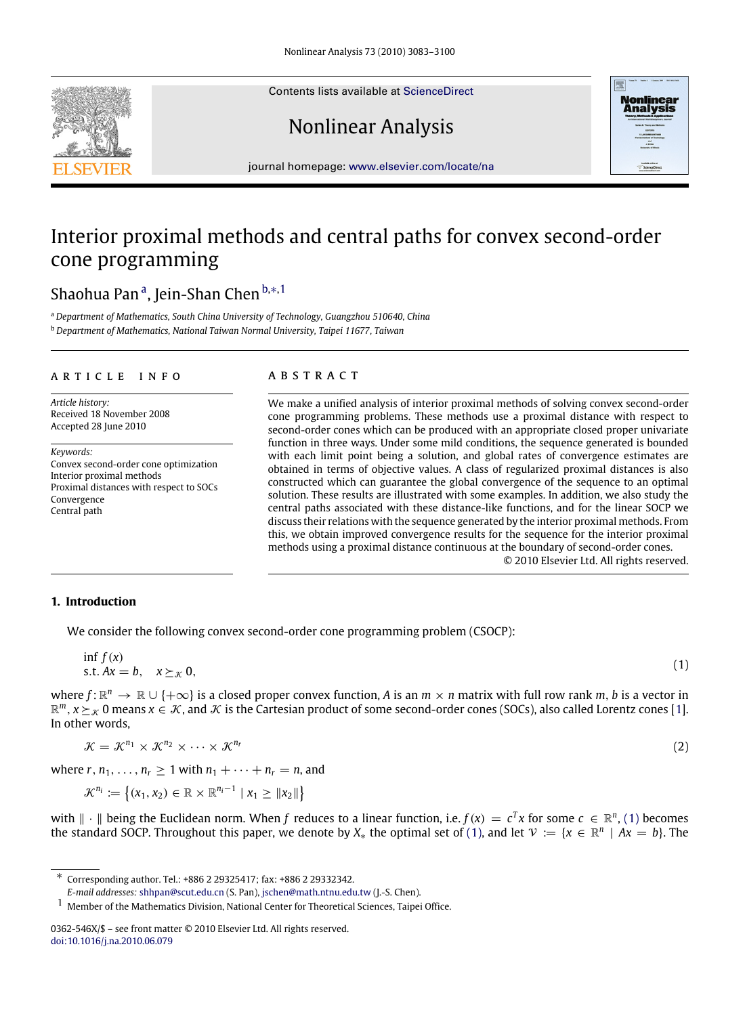Contents lists available at [ScienceDirect](http://www.elsevier.com/locate/na)

# Nonlinear Analysis



<span id="page-0-5"></span><span id="page-0-4"></span>(2)

journal homepage: [www.elsevier.com/locate/na](http://www.elsevier.com/locate/na)

# Interior proximal methods and central paths for convex second-order cone programming

# Sh[a](#page-0-0)ohua Panª, Jein-Shan Chen <sup>[b,](#page-0-1)</sup>\*<sup>[,1](#page-0-3)</sup>

<span id="page-0-1"></span><span id="page-0-0"></span><sup>a</sup> *Department of Mathematics, South China University of Technology, Guangzhou 510640, China* <sup>b</sup> *Department of Mathematics, National Taiwan Normal University, Taipei 11677, Taiwan*

### a r t i c l e i n f o

*Article history:* Received 18 November 2008 Accepted 28 June 2010

*Keywords:* Convex second-order cone optimization Interior proximal methods Proximal distances with respect to SOCs Convergence Central path

## a b s t r a c t

We make a unified analysis of interior proximal methods of solving convex second-order cone programming problems. These methods use a proximal distance with respect to second-order cones which can be produced with an appropriate closed proper univariate function in three ways. Under some mild conditions, the sequence generated is bounded with each limit point being a solution, and global rates of convergence estimates are obtained in terms of objective values. A class of regularized proximal distances is also constructed which can guarantee the global convergence of the sequence to an optimal solution. These results are illustrated with some examples. In addition, we also study the central paths associated with these distance-like functions, and for the linear SOCP we discuss their relations with the sequence generated by the interior proximal methods. From this, we obtain improved convergence results for the sequence for the interior proximal methods using a proximal distance continuous at the boundary of second-order cones. © 2010 Elsevier Ltd. All rights reserved.

### **1. Introduction**

We consider the following convex second-order cone programming problem (CSOCP):

$$
\inf_{\mathbf{x}} f(\mathbf{x}) = \mathbf{x} \cdot \mathbf{x} + \mathbf{x} \cdot \mathbf{x} + \mathbf{x} \cdot \mathbf{x} + \mathbf{x} \cdot \mathbf{x} + \mathbf{x} \cdot \mathbf{x} + \mathbf{x} \cdot \mathbf{x} + \mathbf{x} \cdot \mathbf{x} + \mathbf{x} \cdot \mathbf{x} + \mathbf{x} \cdot \mathbf{x} + \mathbf{x} \cdot \mathbf{x} + \mathbf{x} \cdot \mathbf{x} + \mathbf{x} \cdot \mathbf{x} + \mathbf{x} \cdot \mathbf{x} + \mathbf{x} \cdot \mathbf{x} + \mathbf{x} \cdot \mathbf{x} + \mathbf{x} \cdot \mathbf{x} + \mathbf{x} \cdot \mathbf{x} + \mathbf{x} \cdot \mathbf{x} + \mathbf{x} \cdot \mathbf{x} + \mathbf{x} \cdot \mathbf{x} + \mathbf{x} \cdot \mathbf{x} + \mathbf{x} \cdot \mathbf{x} + \mathbf{x} \cdot \mathbf{x} + \mathbf{x} \cdot \mathbf{x} + \mathbf{x} \cdot \mathbf{x} + \mathbf{x} \cdot \mathbf{x} + \mathbf{x} \cdot \mathbf{x} + \mathbf{x} \cdot \mathbf{x} + \mathbf{x} \cdot \mathbf{x} + \mathbf{x} \cdot \mathbf{x} + \mathbf{x} \cdot \mathbf{x} + \mathbf{x} \cdot \mathbf{x} + \mathbf{x} \cdot \mathbf{x} + \mathbf{x} \cdot \mathbf{x} + \mathbf{x} \cdot \mathbf{x} + \mathbf{x} \cdot \mathbf{x} + \mathbf{x} \cdot \mathbf{x} + \mathbf{x} \cdot \mathbf{x} + \mathbf{x} \cdot \mathbf{x} + \mathbf{x} \cdot \mathbf{x} + \mathbf{x} \cdot \mathbf{x} + \mathbf{x} \cdot \mathbf{x} + \mathbf{x} \cdot \mathbf{x} + \mathbf{x} \cdot \mathbf{x} + \mathbf{x} \cdot \mathbf{x} + \mathbf{x} \cdot \mathbf{x} + \mathbf{x} \cdot \mathbf{x} + \mathbf{x} \cdot \mathbf{x} + \mathbf{x} \cdot \mathbf{x} + \mathbf{x} \cdot \mathbf{x} + \mathbf{x} \cdot \mathbf{x} + \mathbf{x} \cdot \mathbf{x} + \mathbf{x} \cdot \mathbf{x} + \mathbf{x} \cdot \mathbf{x} + \mathbf{x} \cdot \mathbf{x} + \mathbf{x} \cdot \mathbf{x} + \mathbf{x} \cdot \mathbf{x} + \mathbf{x
$$

where  $f: \mathbb{R}^n \to \mathbb{R} \cup \{+\infty\}$  is a closed proper convex function, A is an  $m \times n$  matrix with full row rank  $m$ , b is a vector in  $\mathbb{R}^m$ ,  $x \succeq_\mathcal{K} 0$  means  $x \in \mathcal{K}$ , and  $\mathcal{K}$  is the Cartesian product of some second-order cones (SOCs), also called Lorentz cones [\[1\]](#page-16-0). In other words,

$$
\mathcal{K}=\mathcal{K}^{n_1}\times\mathcal{K}^{n_2}\times\cdots\times\mathcal{K}^{n_r}
$$

where  $r, n_1, \ldots, n_r \geq 1$  with  $n_1 + \cdots + n_r = n$ , and

$$
\mathcal{K}^{n_i} := \left\{ (x_1, x_2) \in \mathbb{R} \times \mathbb{R}^{n_i - 1} \mid x_1 \geq \|x_2\|\right\}
$$

with  $\|\cdot\|$  being the Euclidean norm. When *f* reduces to a linear function, i.e.  $f(x) = c^T x$  for some  $c \in \mathbb{R}^n$ , [\(1\)](#page-0-4) becomes the standard SOCP. Throughout this paper, we denote by  $X_*$  the optimal set of [\(1\),](#page-0-4) and let  $\mathcal{V} := \{x \in \mathbb{R}^n \mid Ax = b\}$ . The

<span id="page-0-2"></span><sup>∗</sup> Corresponding author. Tel.: +886 2 29325417; fax: +886 2 29332342.

*E-mail addresses:* [shhpan@scut.edu.cn](mailto:shhpan@scut.edu.cn) (S. Pan), [jschen@math.ntnu.edu.tw](mailto:jschen@math.ntnu.edu.tw) (J.-S. Chen).

<span id="page-0-3"></span><sup>1</sup> Member of the Mathematics Division, National Center for Theoretical Sciences, Taipei Office.

<sup>0362-546</sup>X/\$ – see front matter © 2010 Elsevier Ltd. All rights reserved. [doi:10.1016/j.na.2010.06.079](http://dx.doi.org/10.1016/j.na.2010.06.079)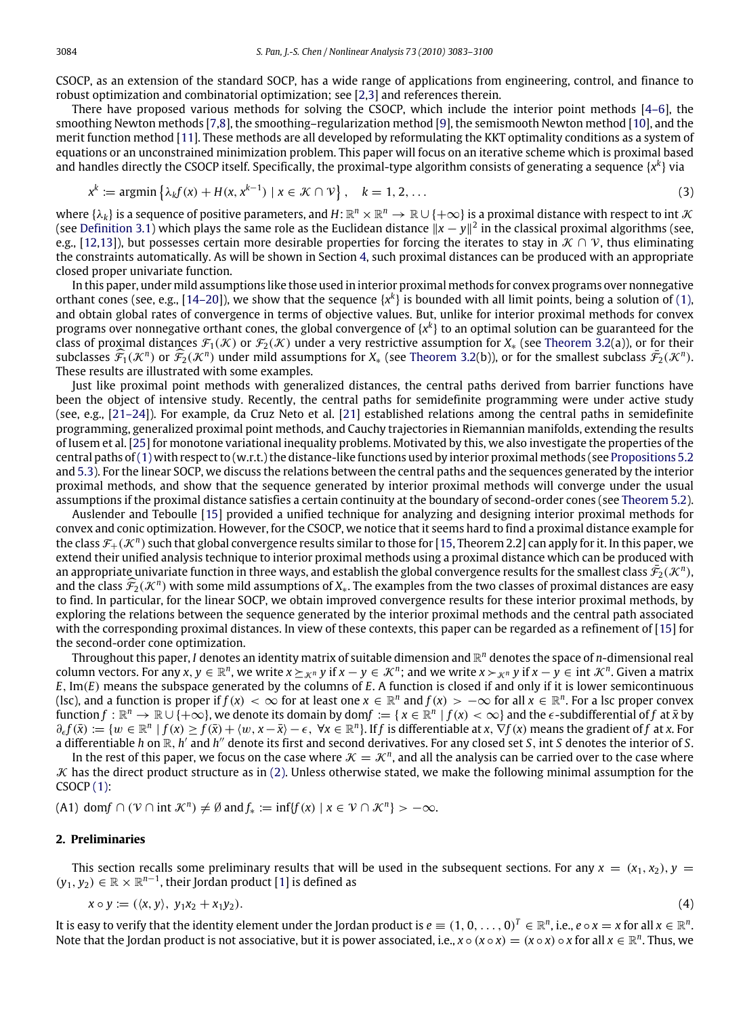CSOCP, as an extension of the standard SOCP, has a wide range of applications from engineering, control, and finance to robust optimization and combinatorial optimization; see [\[2,](#page-16-1)[3\]](#page-16-2) and references therein.

There have proposed various methods for solving the CSOCP, which include the interior point methods [\[4–6\]](#page-16-3), the smoothing Newton methods [\[7,](#page-16-4)[8\]](#page-16-5), the smoothing–regularization method [\[9\]](#page-17-0), the semismooth Newton method [\[10\]](#page-17-1), and the merit function method [\[11\]](#page-17-2). These methods are all developed by reformulating the KKT optimality conditions as a system of equations or an unconstrained minimization problem. This paper will focus on an iterative scheme which is proximal based and handles directly the CSOCP itself. Specifically, the proximal-type algorithm consists of generating a sequence {*x k* } via

<span id="page-1-0"></span>
$$
x^{k} := \operatorname{argmin} \left\{ \lambda_{k} f(x) + H(x, x^{k-1}) \mid x \in \mathcal{K} \cap \mathcal{V} \right\}, \quad k = 1, 2, \dots
$$
\n
$$
(3)
$$

where  $\{\lambda_k\}$  is a sequence of positive parameters, and  $H\!:\R^n\times\R^n\to\R\cup\{+\infty\}$  is a proximal distance with respect to int  $\cal K$ (see [Definition 3.1\)](#page-3-0) which plays the same role as the Euclidean distance  $\|x-y\|^2$  in the classical proximal algorithms (see, e.g., [\[12,](#page-17-3)[13\]](#page-17-4)), but possesses certain more desirable properties for forcing the iterates to stay in  $\mathcal{K} \cap \mathcal{V}$ , thus eliminating the constraints automatically. As will be shown in Section [4,](#page-7-0) such proximal distances can be produced with an appropriate closed proper univariate function.

In this paper, under mild assumptions like those used in interior proximal methods for convex programs over nonnegative orthant cones (see, e.g., [\[14–20\]](#page-17-5)), we show that the sequence  $\{x^k\}$  is bounded with all limit points, being a solution of [\(1\),](#page-0-4) and obtain global rates of convergence in terms of objective values. But, unlike for interior proximal methods for convex programs over nonnegative orthant cones, the global convergence of {*x k* } to an optimal solution can be guaranteed for the class of proximal distances  $\mathcal{F}_1(\mathcal{K})$  or  $\mathcal{F}_2(\mathcal{K})$  under a very restrictive assumption for  $X_*$  (see [Theorem 3.2\(](#page-6-0)a)), or for their subclasses  $\widehat{\mathcal{F}}_1(\mathcal{K}^n)$  or  $\widehat{\mathcal{F}}_2(\mathcal{K}^n)$  under mild assumptions for  $X_*$  (see [Theorem 3.2\(](#page-6-0)b)), or for the smallest subclass  $\overline{\mathcal{F}}_2(\mathcal{K}^n)$ . These results are illustrated with some examples.

Just like proximal point methods with generalized distances, the central paths derived from barrier functions have been the object of intensive study. Recently, the central paths for semidefinite programming were under active study (see, e.g., [\[21–24\]](#page-17-6)). For example, da Cruz Neto et al. [\[21\]](#page-17-6) established relations among the central paths in semidefinite programming, generalized proximal point methods, and Cauchy trajectories in Riemannian manifolds, extending the results of Iusem et al. [\[25\]](#page-17-7) for monotone variational inequality problems. Motivated by this, we also investigate the properties of the central paths of[\(1\)](#page-0-4) with respect to (w.r.t.) the distance-like functions used by interior proximal methods (see [Propositions 5.2](#page-13-0) and [5.3\)](#page-15-0). For the linear SOCP, we discuss the relations between the central paths and the sequences generated by the interior proximal methods, and show that the sequence generated by interior proximal methods will converge under the usual assumptions if the proximal distance satisfies a certain continuity at the boundary of second-order cones (see [Theorem 5.2\)](#page-16-6).

Auslender and Teboulle [\[15\]](#page-17-8) provided a unified technique for analyzing and designing interior proximal methods for convex and conic optimization. However, for the CSOCP, we notice that it seems hard to find a proximal distance example for the class  $\mathcal{F}_+(\mathcal{K}^n)$  such that global convergence results similar to those for [\[15,](#page-17-8) Theorem 2.2] can apply for it. In this paper, we extend their unified analysis technique to interior proximal methods using a proximal distance which can be produced with an appropriate univariate function in three ways, and establish the global convergence results for the smallest class  $\bar{\mathcal{F}}_2(\mathcal{K}^n)$ , and the class  $\widehat{\mathcal{F}}_2(\mathcal{K}^n)$  with some mild assumptions of  $X_*$ . The examples from the two classes of proximal distances are easy to find. In particular, for the linear SOCP, we obtain improved convergence results for these interior proximal methods, by exploring the relations between the sequence generated by the interior proximal methods and the central path associated with the corresponding proximal distances. In view of these contexts, this paper can be regarded as a refinement of [\[15\]](#page-17-8) for the second-order cone optimization.

Throughout this paper, *I* denotes an identity matrix of suitable dimension and R *<sup>n</sup>* denotes the space of *n*-dimensional real column vectors. For any  $x, y \in \mathbb{R}^n$ , we write  $x \succeq_{\mathcal{K}^n} y$  if  $x - y \in \mathcal{K}^n$ ; and we write  $x \succ_{\mathcal{K}^n} y$  if  $x - y \in \text{int } \mathcal{K}^n$ . Given a matrix *E*, Im(*E*) means the subspace generated by the columns of *E*. A function is closed if and only if it is lower semicontinuous (lsc), and a function is proper if  $f(x) < \infty$  for at least one  $x \in \mathbb{R}^n$  and  $f(x) > -\infty$  for all  $x \in \mathbb{R}^n$ . For a lsc proper convex  $f: \mathbb{R}^n \to \mathbb{R} \cup \{+\infty\}$ , we denote its domain by dom $f := \{x \in \mathbb{R}^n \mid f(x) < \infty\}$  and the  $\epsilon$ -subdifferential of  $f$  at  $\bar{x}$  by  $\partial_{\epsilon} f(\bar{x}) := \{ w \in \mathbb{R}^n \mid f(x) \ge f(\bar{x}) + \langle w, x - \bar{x} \rangle - \epsilon, \ \forall x \in \mathbb{R}^n \}.$  If f is differentiable at x,  $\nabla f(x)$  means the gradient of f at x. For a differentiable *h* on  $\mathbb{R}$ , *h'* and *h''* denote its first and second derivatives. For any closed set *S*, int *S* denotes the interior of *S*.

In the rest of this paper, we focus on the case where  $K = K^n$ , and all the analysis can be carried over to the case where  $K$  has the direct product structure as in [\(2\).](#page-0-5) Unless otherwise stated, we make the following minimal assumption for the CSOCP [\(1\):](#page-0-4)

 $(A1)$  dom $f \cap (\mathcal{V} \cap \text{int } \mathcal{K}^n) \neq \emptyset$  and  $f_* := \inf\{f(x) \mid x \in \mathcal{V} \cap \mathcal{K}^n\} > -\infty$ .

#### **2. Preliminaries**

This section recalls some preliminary results that will be used in the subsequent sections. For any  $x = (x_1, x_2), y =$  $(y_1, y_2)$  ∈  $\mathbb{R} \times \mathbb{R}^{n-1}$ , their Jordan product [\[1\]](#page-16-0) is defined as

$$
x \circ y := (\langle x, y \rangle, \ y_1 x_2 + x_1 y_2). \tag{4}
$$

It is easy to verify that the identity element under the Jordan product is  $e\equiv (1,0,\ldots,0)^T\in\mathbb{R}^n$ , i.e.,  $e\circ x=x$  for all  $x\in\mathbb{R}^n$ . Note that the Jordan product is not associative, but it is power associated, i.e.,  $x \circ (x \circ x) = (x \circ x) \circ x$  for all  $x \in \mathbb{R}^n$ . Thus, we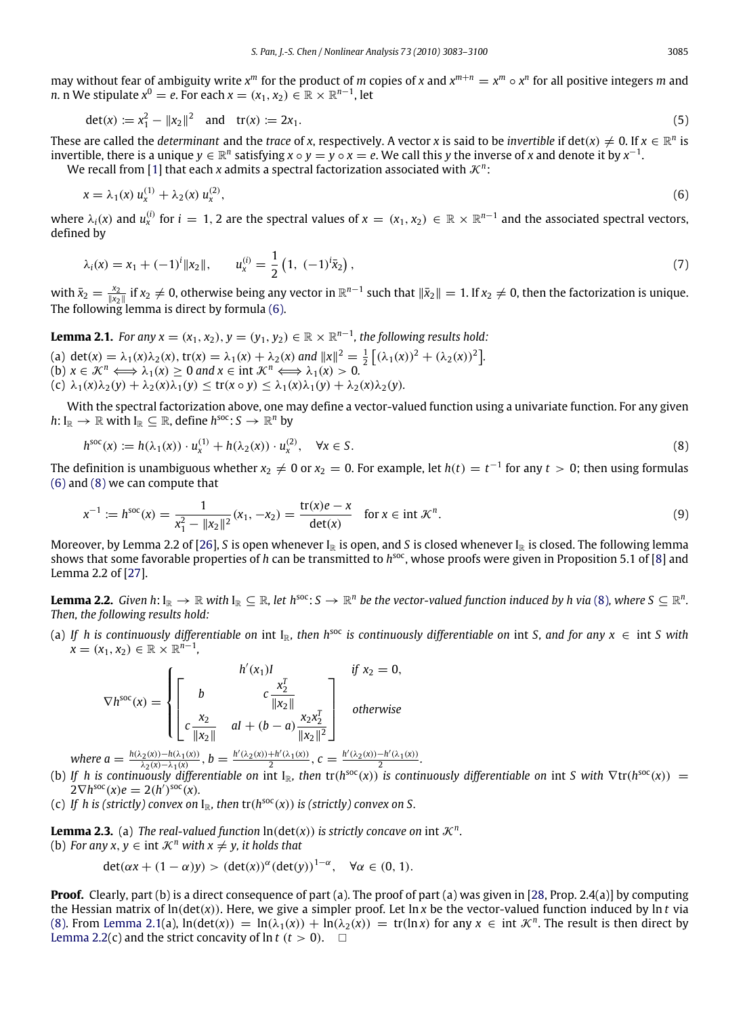may without fear of ambiguity write  $x^m$  for the product of *m* copies of *x* and  $x^{m+n} = x^m \circ x^n$  for all positive integers *m* and *n*. *n* We stipulate  $x^0 = e$ . For each  $x = (x_1, x_2) \in \mathbb{R} \times \mathbb{R}^{n-1}$ , let

$$
\det(x) := x_1^2 - ||x_2||^2 \quad \text{and} \quad \text{tr}(x) := 2x_1. \tag{5}
$$

These are called the *determinant* and the *trace* of *x*, respectively. A vector *x* is said to be *invertible* if  $\det(x) \neq 0$ . If  $x \in \mathbb{R}^n$  is invertible, there is a unique  $y \in \mathbb{R}^n$  satisfying  $x \circ y = y \circ x = e$ . We call this y the inverse of *x* and denote it by  $x^{-1}$ . We recall from [\[1\]](#page-16-0) that each *x* admits a spectral factorization associated with  $\mathcal{K}^n$ :

<span id="page-2-0"></span>
$$
x = \lambda_1(x) u_x^{(1)} + \lambda_2(x) u_x^{(2)}, \tag{6}
$$

where  $\lambda_i(x)$  and  $u_x^{(i)}$  for  $i = 1, 2$  are the spectral values of  $x = (x_1, x_2) \in \mathbb{R} \times \mathbb{R}^{n-1}$  and the associated spectral vectors, defined by

$$
\lambda_i(x) = x_1 + (-1)^i \|x_2\|, \qquad u_x^{(i)} = \frac{1}{2} \left( 1, \ (-1)^i \bar{x}_2 \right), \tag{7}
$$

with  $\bar{x}_2 = \frac{x_2}{\|x_2\|}$  if  $x_2 \neq 0$ , otherwise being any vector in  $\mathbb{R}^{n-1}$  such that  $\|\bar{x}_2\| = 1$ . If  $x_2 \neq 0$ , then the factorization is unique. The following lemma is direct by formula [\(6\).](#page-2-0)

<span id="page-2-2"></span>**Lemma 2.1.** *For any*  $x = (x_1, x_2), y = (y_1, y_2) \in \mathbb{R} \times \mathbb{R}^{n-1}$ , *the following results hold:* 

(a) det(*x*) =  $\lambda_1(x)\lambda_2(x)$ , tr(*x*) =  $\lambda_1(x) + \lambda_2(x)$  and  $||x||^2 = \frac{1}{2} [(\lambda_1(x))^2 + (\lambda_2(x))^2]$ . (b)  $x \in \mathcal{K}^n \Longleftrightarrow \lambda_1(x) \geq 0$  and  $x \in \text{int } \mathcal{K}^n \Longleftrightarrow \lambda_1(x) > 0$ . (c)  $\lambda_1(x)\lambda_2(y) + \lambda_2(x)\lambda_1(y) \le \text{tr}(x \circ y) \le \lambda_1(x)\lambda_1(y) + \lambda_2(x)\lambda_2(y)$ .

With the spectral factorization above, one may define a vector-valued function using a univariate function. For any given  $h: I_{\mathbb{R}} \to \mathbb{R}$  with  $I_{\mathbb{R}} \subseteq \mathbb{R}$ , define  $h^{\text{soc}}: S \to \mathbb{R}^n$  by

<span id="page-2-1"></span>
$$
h^{\text{soc}}(x) := h(\lambda_1(x)) \cdot u_x^{(1)} + h(\lambda_2(x)) \cdot u_x^{(2)}, \quad \forall x \in S.
$$
\n(8)

The definition is unambiguous whether  $x_2\neq 0$  or  $x_2=0$ . For example, let  $h(t)=t^{-1}$  for any  $t>0$ ; then using formulas [\(6\)](#page-2-0) and [\(8\)](#page-2-1) we can compute that

$$
x^{-1} := h^{\text{soc}}(x) = \frac{1}{x_1^2 - ||x_2||^2} (x_1, -x_2) = \frac{\text{tr}(x)e - x}{\text{det}(x)} \quad \text{for } x \in \text{int } \mathcal{K}^n. \tag{9}
$$

Moreover, by Lemma 2.2 of [\[26\]](#page-17-9), *S* is open whenever  $I_{\mathbb{R}}$  is open, and *S* is closed whenever  $I_{\mathbb{R}}$  is closed. The following lemma shows that some favorable properties of *h* can be transmitted to *h*<sup>soc</sup>, whose proofs were given in Proposition 5.1 of [\[8\]](#page-16-5) and Lemma 2.2 of [\[27\]](#page-17-10).

<span id="page-2-3"></span>**Lemma 2.2.** Given h: I<sub>R</sub>  $\to$   $\R$  with I<sub>R</sub>  $\subseteq$   $\R$ *, let h*<sup>soc</sup>: *S*  $\to$   $\R^n$  be the vector-valued function induced by h via [\(8\)](#page-2-1), where S  $\subseteq$   $\R^n$ . *Then, the following results hold:*

(a) If h is continuously differentiable on int  $I_{\mathbb{R}}$ , then h<sup>soc</sup> is continuously differentiable on int *S*, and for any  $x \in \text{int } S$  with  $x = (x_1, x_2) \in \mathbb{R} \times \mathbb{R}^{n-1}$ 

$$
\nabla h^{\text{soc}}(x) = \begin{cases} h'(x_1)I & \text{if } x_2 = 0, \\ \begin{bmatrix} b & c\frac{x_2^T}{\|x_2\|} \\ c\frac{x_2}{\|x_2\|} & \text{at } + (b-a)\frac{x_2x_2^T}{\|x_2\|^2} \end{bmatrix} & \text{otherwise} \end{cases}
$$

where  $a = \frac{h(\lambda_2(x)) - h(\lambda_1(x))}{\lambda_2(x) - \lambda_1(x)}$ ,  $b = \frac{h'(\lambda_2(x)) + h'(\lambda_1(x))}{2}$ ,  $c = \frac{h'(\lambda_2(x)) - h'(\lambda_1(x))}{2}$ .

- (b) If h is continuously differentiable on int I<sub>R</sub>, then  $tr(h^{soc}(x))$  is continuously differentiable on int S with  $\nabla tr(h^{soc}(x)) =$  $2\nabla h^{\text{soc}}(x)e = 2(h^{\prime})^{\text{soc}}(x).$
- (c) If h is (strictly) convex on  $I_{\mathbb{R}}$ , then  $tr(h^{soc}(x))$  is (strictly) convex on S.

**Lemma 2.3.** (a) *The real-valued function*  $ln(det(x))$  *is strictly concave on*  $int \mathcal{K}^n$ . (b) *For any x, y*  $\in$  int  $\mathcal{K}^n$  *with x*  $\neq$  *y, it holds that* 

<span id="page-2-4"></span>
$$
\det(\alpha x + (1 - \alpha)y) > (\det(x))^{\alpha} (\det(y))^{1 - \alpha}, \quad \forall \alpha \in (0, 1).
$$

**Proof.** Clearly, part (b) is a direct consequence of part (a). The proof of part (a) was given in [\[28,](#page-17-11) Prop. 2.4(a)] by computing the Hessian matrix of ln(det(*x*)). Here, we give a simpler proof. Let ln *x* be the vector-valued function induced by ln *t* via [\(8\).](#page-2-1) From [Lemma 2.1\(](#page-2-2)a),  $ln(det(x)) = ln(\lambda_1(x)) + ln(\lambda_2(x)) = tr(ln x)$  for any  $x \in int \mathcal{K}^n$ . The result is then direct by [Lemma 2.2\(](#page-2-3)c) and the strict concavity of  $\ln t$  ( $t > 0$ ).  $\Box$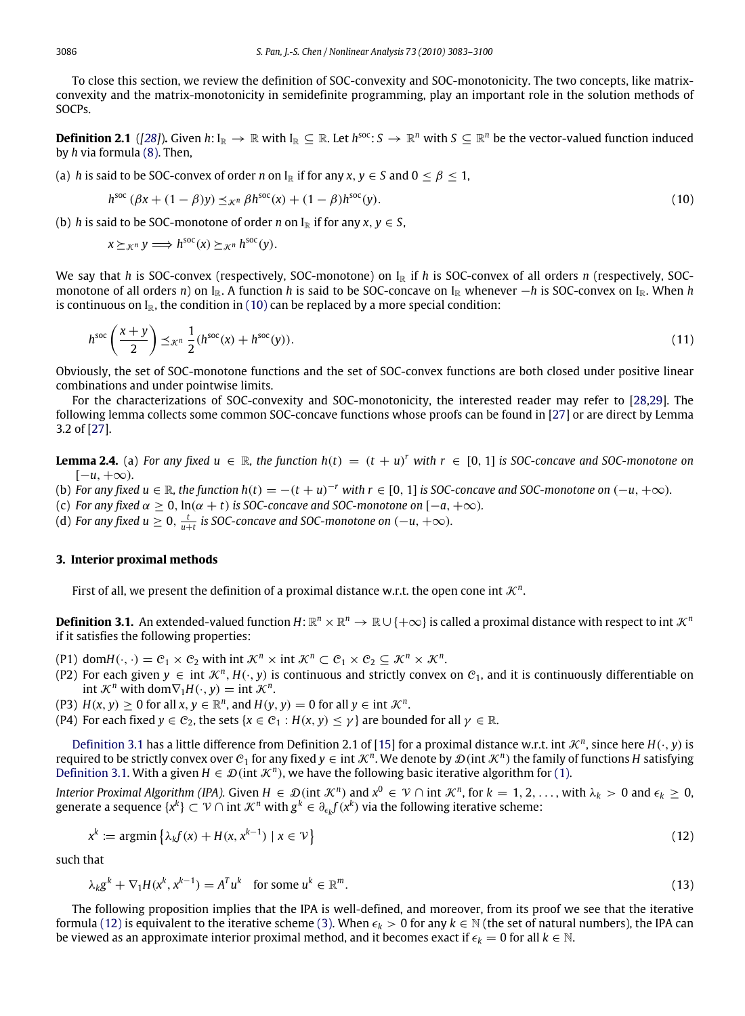To close this section, we review the definition of SOC-convexity and SOC-monotonicity. The two concepts, like matrixconvexity and the matrix-monotonicity in semidefinite programming, play an important role in the solution methods of SOCPs.

**Definition 2.1** ([\[28\]](#page-17-11)). Given  $h: I_{\mathbb{R}} \to \mathbb{R}$  with  $I_{\mathbb{R}} \subseteq \mathbb{R}$ . Let  $h^{soc}: S \to \mathbb{R}^n$  with  $S \subseteq \mathbb{R}^n$  be the vector-valued function induced by *h* via formula [\(8\).](#page-2-1) Then,

(a) *h* is said to be SOC-convex of order *n* on  $I_{\mathbb{R}}$  if for any  $x, y \in S$  and  $0 \le \beta \le 1$ ,

<span id="page-3-4"></span><span id="page-3-1"></span>
$$
h^{\text{soc}}\left(\beta x + (1 - \beta)y\right) \leq_{\mathcal{K}^n} \beta h^{\text{soc}}(x) + (1 - \beta)h^{\text{soc}}(y). \tag{10}
$$

(b) *h* is said to be SOC-monotone of order *n* on  $I_{\mathbb{R}}$  if for any *x*,  $y \in S$ ,

$$
x \succeq_{\mathcal{K}^n} y \Longrightarrow h^{\text{soc}}(x) \succeq_{\mathcal{K}^n} h^{\text{soc}}(y).
$$

We say that *h* is SOC-convex (respectively, SOC-monotone) on  $I_{\mathbb{R}}$  if *h* is SOC-convex of all orders *n* (respectively, SOCmonotone of all orders *n*) on I<sub>R</sub>. A function *h* is said to be SOC-concave on I<sub>R</sub> whenever −*h* is SOC-convex on I<sub>R</sub>. When *h* is continuous on  $I_{\mathbb{R}}$ , the condition in [\(10\)](#page-3-1) can be replaced by a more special condition:

$$
h^{\text{soc}}\left(\frac{x+y}{2}\right) \preceq_{\mathcal{K}^n} \frac{1}{2}(h^{\text{soc}}(x) + h^{\text{soc}}(y)).\tag{11}
$$

Obviously, the set of SOC-monotone functions and the set of SOC-convex functions are both closed under positive linear combinations and under pointwise limits.

For the characterizations of SOC-convexity and SOC-monotonicity, the interested reader may refer to [\[28,](#page-17-11)[29\]](#page-17-12). The following lemma collects some common SOC-concave functions whose proofs can be found in [\[27\]](#page-17-10) or are direct by Lemma 3.2 of [\[27\]](#page-17-10).

<span id="page-3-5"></span>**Lemma 2.4.** (a) *For any fixed*  $u \in \mathbb{R}$ *, the function*  $h(t) = (t + u)^r$  *with*  $r ∈ [0, 1]$  *is SOC-concave and SOC-monotone on*  $[-u, +\infty)$ .

(b) For any fixed  $u \in \mathbb{R}$ , the function  $h(t) = -(t + u)^{-r}$  with  $r \in [0, 1]$  is SOC-concave and SOC-monotone on  $(-u, +\infty)$ .

(c) *For any fixed*  $\alpha \geq 0$ ,  $\ln(\alpha + t)$  *is SOC-concave and SOC-monotone on*  $[-a, +\infty)$ *.* 

(d) For any fixed  $u \geq 0$ ,  $\frac{t}{u+t}$  is SOC-concave and SOC-monotone on  $(-u, +\infty)$ .

### **3. Interior proximal methods**

<span id="page-3-0"></span>First of all, we present the definition of a proximal distance w.r.t. the open cone int  $\mathcal{K}^n$ .

**Definition 3.1.** An extended-valued function  $H: \mathbb{R}^n \times \mathbb{R}^n \to \mathbb{R} \cup \{+\infty\}$  is called a proximal distance with respect to int  $\mathcal{K}^n$ if it satisfies the following properties:

- (P1) dom $H(\cdot, \cdot) = C_1 \times C_2$  with int  $\mathcal{K}^n \times \text{int } \mathcal{K}^n \subset C_1 \times C_2 \subseteq \mathcal{K}^n \times \mathcal{K}^n$ .
- (P2) For each given  $y \in \text{int } \mathcal{K}^n$ ,  $H(\cdot, y)$  is continuous and strictly convex on  $\mathcal{C}_1$ , and it is continuously differentiable on int  $\mathcal{K}^n$  with dom $\nabla_1 H(\cdot, y) = \text{int } \mathcal{K}^n$ .
- (P3)  $H(x, y) \ge 0$  for all  $x, y \in \mathbb{R}^n$ , and  $H(y, y) = 0$  for all  $y \in \text{int } \mathcal{K}^n$ .
- (P4) For each fixed  $\gamma \in \mathcal{C}_2$ , the sets { $x \in \mathcal{C}_1$  :  $H(x, y) \leq \gamma$ } are bounded for all  $\gamma \in \mathbb{R}$ .

[Definition 3.1](#page-3-0) has a little difference from Definition 2.1 of [\[15\]](#page-17-8) for a proximal distance w.r.t. int  $\mathcal{K}^n$ , since here  $H(\cdot, y)$  is required to be strictly convex over  $C_1$  for any fixed  $y \in \text{int }\mathcal{K}^n$ . We denote by  $\mathcal{D}(\text{int }\mathcal{K}^n)$  the family of functions H satisfying [Definition 3.1.](#page-3-0) With a given  $H \in \mathcal{D}$  (int  $\mathcal{K}^n$ ), we have the following basic iterative algorithm for [\(1\).](#page-0-4)

*Interior Proximal Algorithm (IPA).* Given  $H \in \mathcal{D}$  (int  $\mathcal{K}^n$ ) and  $x^0 \in \mathcal{V} \cap$  int  $\mathcal{K}^n$ , for  $k = 1, 2, \ldots$ , with  $\lambda_k > 0$  and  $\epsilon_k \geq 0$ , generate a sequence  $\{x^k\} \subset \mathcal{V} \cap \operatorname{int}\mathcal{K}^n$  with  $g^k \in \partial_{\epsilon_k}f(x^k)$  via the following iterative scheme:

$$
x^{k} := \operatorname{argmin} \left\{ \lambda_{k} f(x) + H(x, x^{k-1}) \mid x \in \mathcal{V} \right\}
$$
\n
$$
(12)
$$

such that

<span id="page-3-3"></span><span id="page-3-2"></span>
$$
\lambda_k g^k + \nabla_1 H(x^k, x^{k-1}) = A^T u^k \quad \text{for some } u^k \in \mathbb{R}^m. \tag{13}
$$

The following proposition implies that the IPA is well-defined, and moreover, from its proof we see that the iterative formula [\(12\)](#page-3-2) is equivalent to the iterative scheme [\(3\).](#page-1-0) When  $\epsilon_k > 0$  for any  $k \in \mathbb{N}$  (the set of natural numbers), the IPA can be viewed as an approximate interior proximal method, and it becomes exact if  $\epsilon_k = 0$  for all  $k \in \mathbb{N}$ .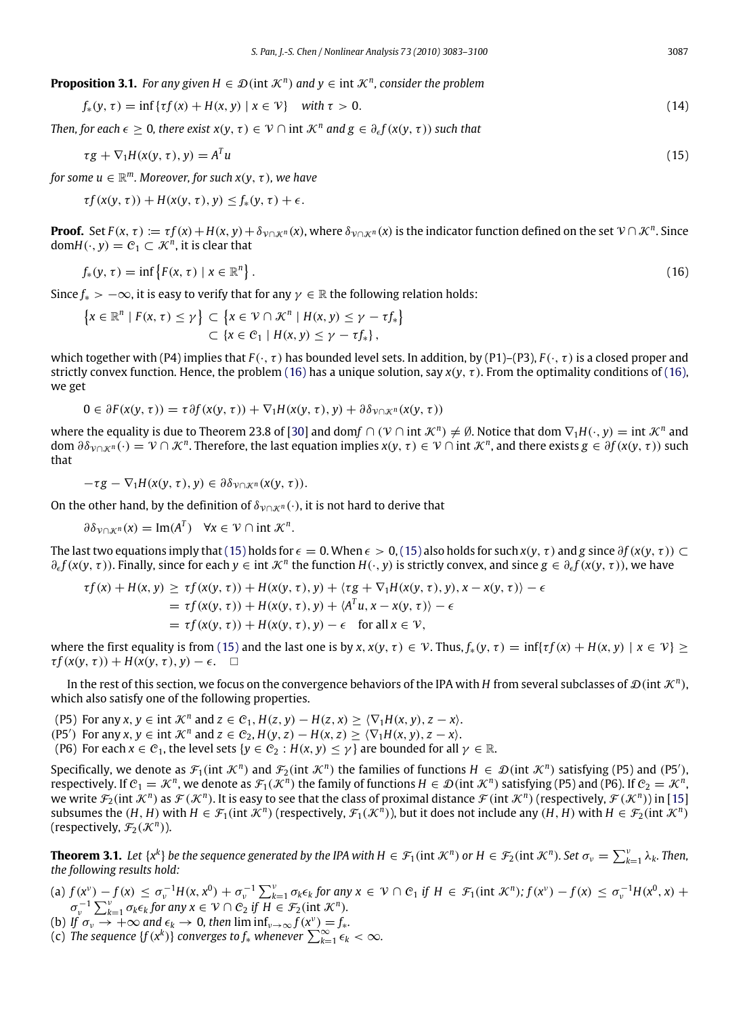**Proposition 3.1.** *For any given*  $H \in \mathcal{D}$  (int  $\mathcal{K}^n$ ) *and*  $y \in \text{int } \mathcal{K}^n$ , *consider the problem* 

<span id="page-4-3"></span>
$$
f_*(y, \tau) = \inf \{ \tau f(x) + H(x, y) \mid x \in \mathcal{V} \} \quad \text{with } \tau > 0.
$$
\n
$$
(14)
$$

*Then, for each*  $\epsilon \geq 0$ , there exist  $x(y, \tau) \in V \cap \text{int } \mathcal{K}^n$  and  $g \in \partial_{\epsilon} f(x(y, \tau))$  such that

<span id="page-4-1"></span>
$$
\tau g + \nabla_1 H(x(y,\tau),y) = A^T u \tag{15}
$$

for some  $u \in \mathbb{R}^m$ . Moreover, for such  $x(y, \tau)$ , we have

$$
\tau f(x(y,\tau)) + H(x(y,\tau),y) \le f_*(y,\tau) + \epsilon.
$$

**Proof.** Set  $F(x, \tau) := \tau f(x) + H(x, y) + \delta_{\nu \cap \mathcal{K}^n}(x)$ , where  $\delta_{\nu \cap \mathcal{K}^n}(x)$  is the indicator function defined on the set  $\nu \cap \mathcal{K}^n$ . Since  $domH(\cdot, y) = C_1 \subset \mathcal{K}^n$ , it is clear that

$$
f_*(y,\tau)=\inf\left\{F(x,\tau)\mid x\in\mathbb{R}^n\right\}.
$$
 (16)

Since  $f_* > -\infty$ , it is easy to verify that for any  $\gamma \in \mathbb{R}$  the following relation holds:

<span id="page-4-0"></span>
$$
\left\{x \in \mathbb{R}^n \mid F(x, \tau) \leq \gamma\right\} \subset \left\{x \in \mathcal{V} \cap \mathcal{K}^n \mid H(x, y) \leq \gamma - \tau f_*\right\} \subset \left\{x \in \mathcal{C}_1 \mid H(x, y) \leq \gamma - \tau f_*\right\},\
$$

which together with (P4) implies that  $F(\cdot, \tau)$  has bounded level sets. In addition, by (P1)–(P3),  $F(\cdot, \tau)$  is a closed proper and strictly convex function. Hence, the problem [\(16\)](#page-4-0) has a unique solution, say  $x(y, \tau)$ . From the optimality conditions of [\(16\),](#page-4-0) we get

$$
0\in \partial F(x(y,\tau))=\tau\partial f(x(y,\tau))+\nabla_1 H(x(y,\tau),y)+\partial \delta_{\mathcal{V}\cap\mathcal{K}^n}(x(y,\tau))
$$

where the equality is due to Theorem 23.8 of [\[30\]](#page-17-13) and dom $f\cap(\mathcal{V}\cap\mathop{\rm int}\nolimits\mathcal{K}^n)\neq\emptyset$ . Notice that dom  $\nabla_1H(\cdot,y)=\mathop{\rm int}\nolimits\mathcal{K}^n$  and  $\partial \partial \partial \nu \cap \mathcal{K}^n$  (·) =  $\mathcal{V} \cap \mathcal{K}^n$ . Therefore, the last equation implies  $x(y, \tau) \in \mathcal{V} \cap \text{int } \mathcal{K}^n$ , and there exists  $g \in \partial f(x(y, \tau))$  such that

$$
-\tau g - \nabla_1 H(x(y,\tau),y) \in \partial \delta_{\mathcal{V} \cap \mathcal{K}^n}(x(y,\tau)).
$$

On the other hand, by the definition of  $\delta_{V\cap K}n(\cdot)$ , it is not hard to derive that

$$
\partial \delta_{\mathcal{V} \cap \mathcal{K}^n}(x) = \text{Im}(A^T) \quad \forall x \in \mathcal{V} \cap \text{int } \mathcal{K}^n.
$$

The last two equations imply that [\(15\)](#page-4-1) holds for  $\epsilon = 0$ . When  $\epsilon > 0$ , (15) also holds for such  $x(y, \tau)$  and g since  $\partial f(x(y, \tau)) \subset$  $\partial_{\epsilon} f(x(y, \tau))$ . Finally, since for each  $y \in \text{int } \mathcal{K}^n$  the function  $H(\cdot, y)$  is strictly convex, and since  $g \in \partial_{\epsilon} f(x(y, \tau))$ , we have

$$
\tau f(x) + H(x, y) \ge \tau f(x(y, \tau)) + H(x(y, \tau), y) + \langle \tau g + \nabla_1 H(x(y, \tau), y), x - x(y, \tau) \rangle - \epsilon
$$
  
=  $\tau f(x(y, \tau)) + H(x(y, \tau), y) + \langle A^T u, x - x(y, \tau) \rangle - \epsilon$   
=  $\tau f(x(y, \tau)) + H(x(y, \tau), y) - \epsilon$  for all  $x \in \mathcal{V}$ ,

where the first equality is from [\(15\)](#page-4-1) and the last one is by  $x, x(y, \tau) \in V$ . Thus,  $f_*(y, \tau) = \inf\{ \tau f(x) + H(x, y) \mid x \in V\} >$  $\tau f(x(\nu, \tau)) + H(x(\nu, \tau), \nu) - \epsilon$ .  $\Box$ 

In the rest of this section, we focus on the convergence behaviors of the IPA with *H* from several subclasses of  $\mathcal{D}(\text{int }\mathcal{K}^n)$ , which also satisfy one of the following properties.

- (P5) For any  $x, y \in \text{int } \mathcal{K}^n$  and  $z \in \mathcal{C}_1$ ,  $H(z, y) H(z, x) \ge \langle \nabla_1 H(x, y), z x \rangle$ .
- (P5<sup>'</sup>) For any  $x, y \in \text{int } \mathcal{K}^n$  and  $z \in \mathcal{C}_2$ ,  $H(y, z) H(x, z) \ge \langle \nabla_1 H(x, y), z x \rangle$ .
- (P6) For each  $x \in C_1$ , the level sets  $\{y \in C_2 : H(x, y) \leq \gamma\}$  are bounded for all  $\gamma \in \mathbb{R}$ .

Specifically, we denote as  $\mathcal{F}_1$ (int  $\mathcal{K}^n$ ) and  $\mathcal{F}_2$ (int  $\mathcal{K}^n$ ) the families of functions  $H \in \mathcal{D}$ (int  $\mathcal{K}^n$ ) satisfying (P5) and (P5'), respectively. If  $C_1 = K^n$ , we denote as  $\mathcal{F}_1(\mathcal{K}^n)$  the family of functions  $H \in \mathcal{D}$  (int  $\mathcal{K}^n$ ) satisfying (P5) and (P6). If  $C_2 = \mathcal{K}^n$ , we write  $\mathcal{F}_2(\text{int }\mathcal{K}^n)$  as  $\mathcal{F}(\mathcal{K}^n)$ . It is easy to see that the class of proximal distance  $\mathcal{F}(\text{int }\mathcal{K}^n)$  (respectively,  $\mathcal{F}(\mathcal{K}^n)$ ) in [\[15\]](#page-17-8) subsumes the  $(H, H)$  with  $H \in \mathcal{F}_1(\text{int } \mathcal{K}^n)$  (respectively,  $\mathcal{F}_1(\mathcal{K}^n)$ ), but it does not include any  $(H, H)$  with  $H \in \mathcal{F}_2(\text{int } \mathcal{K}^n)$ (respectively,  $\mathcal{F}_2(\mathcal{K}^n)$ ).

<span id="page-4-2"></span>**Theorem 3.1.** Let  $\{x^k\}$  be the sequence generated by the IPA with  $H \in \mathcal{F}_1(\text{int } \mathcal{K}^n)$  or  $H \in \mathcal{F}_2(\text{int } \mathcal{K}^n)$ . Set  $\sigma_\nu = \sum_{k=1}^\nu \lambda_k$ . Then, *the following results hold:*

- (a)  $f(x^{\nu}) f(x) \leq \sigma_{\nu}^{-1}H(x, x^0) + \sigma_{\nu}^{-1}\sum_{k=1}^{\nu} \sigma_k \epsilon_k$  for any  $x \in \mathcal{V} \cap C_1$  if  $H \in \mathcal{F}_1(\text{int } \mathcal{K}^n)$ ;  $f(x^{\nu}) f(x) \leq \sigma_{\nu}^{-1}H(x^0, x) +$  $\sigma_{v}^{-1} \sum_{k=1}^{v} \sigma_{k} \epsilon_{k}$  for any  $x \in \mathcal{V} \cap \mathcal{C}_{2}$  if  $H \in \mathcal{F}_{2}(\text{int } \mathcal{K}^{n})$ .
- (b) *If*  $\sigma_v \to +\infty$  and  $\epsilon_k \to 0$ , then  $\liminf_{v\to\infty} f(x^v) = f_*$ .
- (c) The sequence  $\{f(x^k)\}$  converges to  $f_*$  whenever  $\sum_{k=1}^{\infty} \epsilon_k < \infty$ .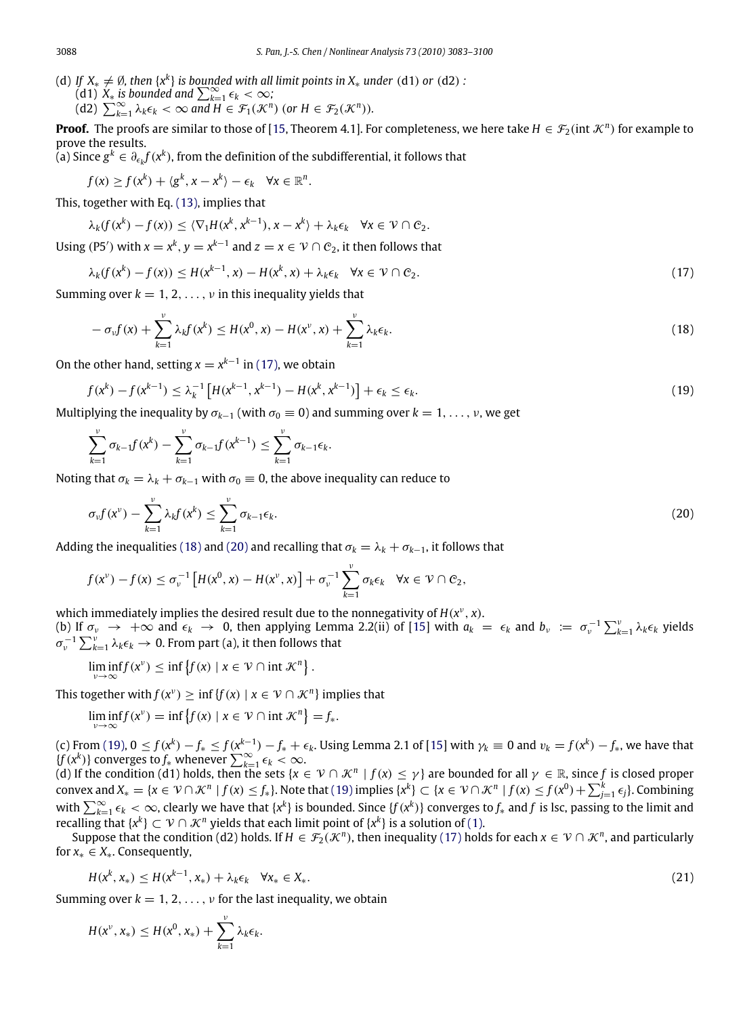- (d) *If*  $X_* \neq \emptyset$ , then  $\{x^k\}$  is bounded with all limit points in  $X_*$  *under* (d1) *or* (d2) *:* (d1)  $X_*$  *is bounded and*  $\sum_{k=1}^{\infty} \epsilon_k < \infty$ ;
	-

(d2) 
$$
\sum_{k=1}^{\infty} \lambda_k \epsilon_k < \infty \text{ and } H \in \mathcal{F}_1(\mathcal{K}^n) \text{ (or } H \in \mathcal{F}_2(\mathcal{K}^n).
$$

**Proof.** The proofs are similar to those of [\[15,](#page-17-8) Theorem 4.1]. For completeness, we here take  $H \in \mathcal{F}_2(\text{int }\mathcal{K}^n)$  for example to prove the results.

(a) Since  $g^k$  ∈  $\partial_{\epsilon_k} f(x^k)$ , from the definition of the subdifferential, it follows that

$$
f(x) \geq f(x^k) + \langle g^k, x - x^k \rangle - \epsilon_k \quad \forall x \in \mathbb{R}^n.
$$

This, together with Eq. [\(13\),](#page-3-3) implies that

$$
\lambda_k(f(x^k)-f(x))\leq \langle \nabla_1 H(x^k,x^{k-1}),x-x^k\rangle+\lambda_k\epsilon_k \quad \forall x\in\mathcal{V}\cap\mathcal{C}_2.
$$

Using (P5<sup>'</sup>) with  $x = x^k$ ,  $y = x^{k-1}$  and  $z = x \in \mathcal{V} \cap C_2$ , it then follows that

$$
\lambda_k(f(x^k) - f(x)) \le H(x^{k-1}, x) - H(x^k, x) + \lambda_k \epsilon_k \quad \forall x \in \mathcal{V} \cap \mathcal{C}_2. \tag{17}
$$

Summing over  $k = 1, 2, ..., v$  in this inequality yields that

<span id="page-5-3"></span><span id="page-5-1"></span><span id="page-5-0"></span>
$$
-\sigma_v f(x) + \sum_{k=1}^{\nu} \lambda_k f(x^k) \le H(x^0, x) - H(x^{\nu}, x) + \sum_{k=1}^{\nu} \lambda_k \epsilon_k.
$$
\n(18)

On the other hand, setting  $x = x^{k-1}$  in [\(17\),](#page-5-0) we obtain

$$
f(x^{k}) - f(x^{k-1}) \le \lambda_k^{-1} \left[ H(x^{k-1}, x^{k-1}) - H(x^{k}, x^{k-1}) \right] + \epsilon_k \le \epsilon_k.
$$
\n(19)

Multiplying the inequality by  $\sigma_{k-1}$  (with  $\sigma_0 \equiv 0$ ) and summing over  $k = 1, \ldots, \nu$ , we get

$$
\sum_{k=1}^{\nu} \sigma_{k-1} f(x^{k}) - \sum_{k=1}^{\nu} \sigma_{k-1} f(x^{k-1}) \leq \sum_{k=1}^{\nu} \sigma_{k-1} \epsilon_{k}.
$$

Noting that  $\sigma_k = \lambda_k + \sigma_{k-1}$  with  $\sigma_0 \equiv 0$ , the above inequality can reduce to

<span id="page-5-2"></span>
$$
\sigma_{\nu}f(x^{\nu}) - \sum_{k=1}^{\nu} \lambda_k f(x^k) \leq \sum_{k=1}^{\nu} \sigma_{k-1} \epsilon_k.
$$
\n(20)

Adding the inequalities [\(18\)](#page-5-1) and [\(20\)](#page-5-2) and recalling that  $\sigma_k = \lambda_k + \sigma_{k-1}$ , it follows that

$$
f(x^{\nu}) - f(x) \leq \sigma_{\nu}^{-1} \left[ H(x^0, x) - H(x^{\nu}, x) \right] + \sigma_{\nu}^{-1} \sum_{k=1}^{\nu} \sigma_k \epsilon_k \quad \forall x \in \mathcal{V} \cap C_2,
$$

which immediately implies the desired result due to the nonnegativity of  $H(x^{\nu}, x)$ . (b) If  $\sigma_{\nu} \to +\infty$  and  $\epsilon_k \to 0$ , then applying Lemma 2.2(ii) of [\[15\]](#page-17-8) with  $a_k = \epsilon_k$  and  $b_{\nu} := \sigma_{\nu}^{-1} \sum_{k=1}^{\nu} \lambda_k \epsilon_k$  yields  $\sigma_{\nu}^{-1}\sum_{k=1}^{\nu}\lambda_{k}\epsilon_{k}\rightarrow0$ . From part (a), it then follows that

 $\liminf_{\nu \to \infty} f(x^{\nu}) \leq \inf \{ f(x) \mid x \in \mathcal{V} \cap \text{int } \mathcal{K}^{n} \}.$ 

This together with  $f(x^{\nu}) \geq \inf \{ f(x) \mid x \in \mathcal{V} \cap \mathcal{K}^{n} \}$  implies that

$$
\liminf_{\nu \to \infty} f(x^{\nu}) = \inf \{ f(x) \mid x \in \mathcal{V} \cap \text{int } \mathcal{K}^{n} \} = f_{*}.
$$

(c) From [\(19\),](#page-5-3)  $0 \le f(x^k) - f_* \le f(x^{k-1}) - f_* + \epsilon_k$ . Using Lemma 2.1 of [\[15\]](#page-17-8) with  $\gamma_k \equiv 0$  and  $v_k = f(x^k) - f_*$ , we have that  ${f(x^k)}$  converges to  $f_*$  whenever  $\sum_{k=1}^{\infty} \epsilon_k < \infty$ .

(d) If the condition (d1) holds, then the sets  $\{x \in V \cap \mathcal{K}^n \mid f(x) \leq \gamma\}$  are bounded for all  $\gamma \in \mathbb{R}$ , since f is closed proper convex and  $X_* = \{x \in \mathcal{V} \cap \mathcal{K}^n \mid f(x) \leq f_*\}$ . Note that [\(19\)](#page-5-3) implies  $\{x^k\} \subset \{x \in \mathcal{V} \cap \mathcal{K}^n \mid f(x) \leq f(x^0) + \sum_{j=1}^k \epsilon_j\}$ . Combining with  $\sum_{k=1}^{\infty} \epsilon_k < \infty$ , clearly we have that  $\{x^k\}$  is bounded. Since  $\{f(x^k)\}$  converges to  $f_*$  and  $f$  is lsc, passing to the limit and recalling that { $x^k$ } ⊂  $\mathcal{V} \cap \mathcal{K}^n$  yields that each limit point of { $x^k$ } is a solution of [\(1\).](#page-0-4)

Suppose that the condition (d2) holds. If  $H \in \mathcal{F}_2(\mathcal{K}^n)$ , then inequality [\(17\)](#page-5-0) holds for each  $x \in \mathcal{V} \cap \mathcal{K}^n$ , and particularly for *x*<sup>∗</sup> ∈ *X*∗. Consequently,

<span id="page-5-4"></span>
$$
H(x^k, x_*) \le H(x^{k-1}, x_*) + \lambda_k \epsilon_k \quad \forall x_* \in X_*.
$$
\n(21)

Summing over  $k = 1, 2, ..., v$  for the last inequality, we obtain

$$
H(x^{\nu},x_{*}) \leq H(x^{0},x_{*}) + \sum_{k=1}^{\nu} \lambda_{k} \epsilon_{k}.
$$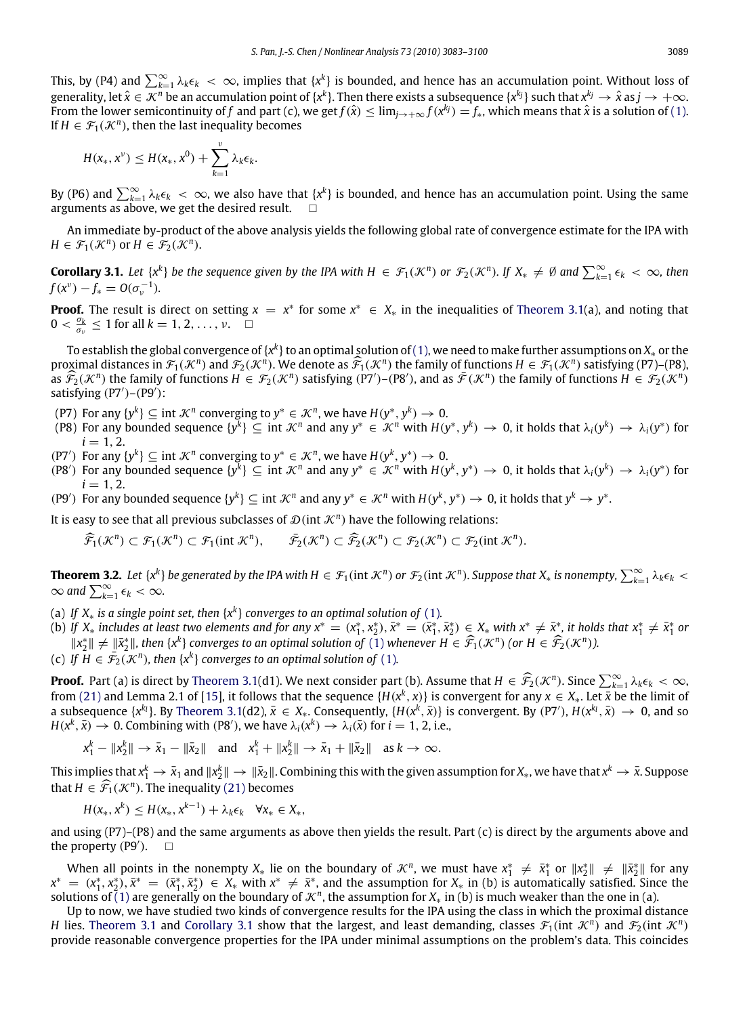This, by (P4) and  $\sum_{k=1}^{\infty}\lambda_k\epsilon_k<\infty$ , implies that  $\{x^k\}$  is bounded, and hence has an accumulation point. Without loss of generality, let  $\hat x\in X^n$  be an accumulation point of {x<sup>k</sup>}. Then there exists a subsequence {x<sup>k}</sup>} such that  $x^{k_j}\to\hat x$  as  $j\to+\infty$ . From the lower semicontinuity of f and part (c), we get  $f(\hat{x}) \le \lim_{j\to+\infty} f(x^{kj}) = f_*$ , which means that  $\hat{x}$  is a solution of [\(1\).](#page-0-4) If  $H \in \mathcal{F}_1(\mathcal{K}^n)$ , then the last inequality becomes

$$
H(x_*,x^{\nu})\leq H(x_*,x^0)+\sum_{k=1}^{\nu}\lambda_k\epsilon_k.
$$

By (P6) and  $\sum_{k=1}^{\infty}\lambda_k\epsilon_k$   $\lt\infty$ , we also have that  $\{x^k\}$  is bounded, and hence has an accumulation point. Using the same arguments as above, we get the desired result.  $\square$ 

An immediate by-product of the above analysis yields the following global rate of convergence estimate for the IPA with  $H \in \mathcal{F}_1(\mathcal{K}^n)$  or  $H \in \mathcal{F}_2(\mathcal{K}^n)$ .

<span id="page-6-1"></span>**Corollary 3.1.** Let  $\{x^k\}$  be the sequence given by the IPA with  $H \in \mathcal{F}_1(\mathcal{K}^n)$  or  $\mathcal{F}_2(\mathcal{K}^n)$ . If  $X_* \neq \emptyset$  and  $\sum_{k=1}^{\infty} \epsilon_k < \infty$ , then  $f(x^{\nu}) - f_* = O(\sigma_{\nu}^{-1}).$ 

**Proof.** The result is direct on setting  $x = x^*$  for some  $x^* \in X_*$  in the inequalities of [Theorem 3.1\(](#page-4-2)a), and noting that  $0 < \frac{\sigma_k}{\sigma_v} \le 1$  for all  $k = 1, 2, ..., v$ .

To establish the global convergence of {x<sup>k</sup>} to an optimal solution of [\(1\),](#page-0-4) we need to make further assumptions on  $X_*$  or the proximal distances in  $\mathcal{F}_1(\mathcal{K}^n)$  and  $\mathcal{F}_2(\mathcal{K}^n)$ . We denote as  $\widehat{\mathcal{F}}_1(\mathcal{K}^n)$  the family of functions  $H \in \mathcal{F}_1(\mathcal{K}^n)$  satisfying (P7)–(P8), as  $\widehat{\mathcal{F}}_2(\mathcal{K}^n)$  the family of functions  $H \in \mathcal{F}_2(\mathcal{K}^n)$  satisfying  $(\overline{P7})$ – $(\overline{P8})$ , and as  $\overline{\mathcal{F}}(\mathcal{K}^n)$  the family of functions  $H \in \mathcal{F}_2(\mathcal{K}^n)$ satisfying (P7')-(P9'):

(P7) For any  $\{y^k\} \subseteq \text{int } \mathcal{K}^n$  converging to  $y^* \in \mathcal{K}^n$ , we have  $H(y^*, y^k) \to 0$ .

- (P8) For any bounded sequence  $\{y^k\} \subseteq \text{int } \mathcal{K}^n$  and any  $y^* \in \mathcal{K}^n$  with  $H(y^*, y^k) \to 0$ , it holds that  $\lambda_i(y^k) \to \lambda_i(y^*)$  for  $i = 1, 2.$
- (P7<sup>'</sup>) For any  $\{y^k\} \subseteq \text{int } \mathcal{K}^n$  converging to  $y^* \in \mathcal{K}^n$ , we have  $H(y^k, y^*) \to 0$ .
- (P8<sup>'</sup>) For any bounded sequence  $\{y^k\} \subseteq \text{int } \mathcal{K}^n$  and any  $y^* \in \mathcal{K}^n$  with  $H(y^k, y^*) \to 0$ , it holds that  $\lambda_i(y^k) \to \lambda_i(y^*)$  for  $i = 1, 2.$
- (P9') For any bounded sequence  $\{y^k\} \subseteq \text{int } \mathcal{K}^n$  and any  $y^* \in \mathcal{K}^n$  with  $H(y^k, y^*) \to 0$ , it holds that  $y^k \to y^*$ .

It is easy to see that all previous subclasses of  $\mathfrak{D}(\text{int }\mathcal{K}^n)$  have the following relations:

<span id="page-6-0"></span>
$$
\widehat{\mathcal{F}}_1(\mathcal{K}^n) \subset \mathcal{F}_1(\mathcal{K}^n) \subset \mathcal{F}_1(\text{int } \mathcal{K}^n), \qquad \overline{\mathcal{F}}_2(\mathcal{K}^n) \subset \widehat{\mathcal{F}}_2(\mathcal{K}^n) \subset \mathcal{F}_2(\mathcal{K}^n) \subset \mathcal{F}_2(\text{int } \mathcal{K}^n).
$$

**Theorem 3.2.** Let  $\{x^k\}$  be generated by the IPA with  $H \in \mathcal{F}_1(\text{int }\mathcal{K}^n)$  or  $\mathcal{F}_2(\text{int }\mathcal{K}^n)$ . Suppose that  $X_*$  is nonempty,  $\sum_{k=1}^\infty \lambda_k \epsilon_k < k$  $\infty$  and  $\sum_{k=1}^{\infty} \epsilon_k < \infty$ .

- (a) If  $X_*$  is a single point set, then  $\{x^k\}$  converges to an optimal solution of [\(1\)](#page-0-4).
- (b) If  $X_*$  includes at least two elements and for any  $x^* = (x_1^*, x_2^*), \bar{x}^* = (\bar{x}_1^*, \bar{x}_2^*) \in X_*$  with  $x^* \neq \bar{x}_2^*$ , it holds that  $x_1^* \neq \bar{x}_1^*$  or  $||x_2^*|| \neq ||\bar{x}_2^*||$ , then  $\{x^k\}$  converges to an optimal solution of [\(1\)](#page-0-4) whenever  $H \in \widehat{\mathcal{F}}_1(\mathcal{K}^n)$  (or  $H \in \widehat{\mathcal{F}}_2(\mathcal{K}^n)$ ).
- (c) If  $H \in \tilde{\mathcal{F}}_2(\mathcal{K}^n)$ , then  $\{x^k\}$  converges to an optimal solution of [\(1\)](#page-0-4).

**Proof.** Part (a) is direct by [Theorem 3.1\(](#page-4-2)d1). We next consider part (b). Assume that  $H \in \widehat{\mathcal{F}}_2(\mathcal{K}^n)$ . Since  $\sum_{k=1}^{\infty} \lambda_k \epsilon_k < \infty$ , from [\(21\)](#page-5-4) and Lemma 2.1 of [\[15\]](#page-17-8), it follows that the sequence { $H(x^k, x)$ } is convergent for any  $x \in X_*$ . Let  $\bar{x}$  be the limit of a subsequence  $\{x^{k_1}\}\$ . By [Theorem 3.1\(](#page-4-2)d2),  $\bar{x} \in X_*$ . Consequently,  $\{H(x^k, \bar{x})\}$  is convergent. By  $(P7')$ ,  $H(x^{k_1}, \bar{x}) \to 0$ , and so *H*( $x^k$ ,  $\bar{x}$ )  $\rightarrow$  0. Combining with (P8'), we have  $\lambda_i(x^k) \rightarrow \lambda_i(\bar{x})$  for  $i = 1, 2$ , i.e.,

$$
x_1^k - \|x_2^k\| \to \bar{x}_1 - \|\bar{x}_2\| \quad \text{and} \quad x_1^k + \|x_2^k\| \to \bar{x}_1 + \|\bar{x}_2\| \quad \text{as } k \to \infty.
$$

This implies that  $x_1^k\to\bar{x}_1$  and  $\|x_2^k\|\to\|\bar{x}_2\|$ . Combining this with the given assumption for  $X_*$ , we have that  $x^k\to\bar{x}$ . Suppose that  $H \in \widehat{\mathcal{F}}_1(\mathcal{K}^n)$ . The inequality [\(21\)](#page-5-4) becomes

$$
H(x_*,x^k) \leq H(x_*,x^{k-1}) + \lambda_k \epsilon_k \quad \forall x_* \in X_*,
$$

and using (P7)–(P8) and the same arguments as above then yields the result. Part (c) is direct by the arguments above and the property  $(\overline{PQ'})$ .  $\Box$ 

When all points in the nonempty  $X_*$  lie on the boundary of  $\mathcal{K}^n$ , we must have  $x_1^* \neq \bar{x}_1^*$  or  $||x_2^*|| \neq ||\bar{x}_2^*||$  for any  $x^* = (x_1^*, x_2^*, \bar{x}_1^*, \bar{x}_2^*) \in X_*$  with  $x^* \neq \bar{x}^*$ , and the assumption for  $X_*$  in (b) is automatically satisfied. Since the solutions of [\(1\)](#page-0-4) are generally on the boundary of  $\mathcal{K}^n$ , the assumption for  $X_*$  in (b) is much weaker than the one in (a).

Up to now, we have studied two kinds of convergence results for the IPA using the class in which the proximal distance *H* lies. [Theorem 3.1](#page-4-2) and [Corollary 3.1](#page-6-1) show that the largest, and least demanding, classes  $\mathcal{F}_1$ (int  $\mathcal{K}^n$ ) and  $\mathcal{F}_2$ (int  $\mathcal{K}^n$ ) provide reasonable convergence properties for the IPA under minimal assumptions on the problem's data. This coincides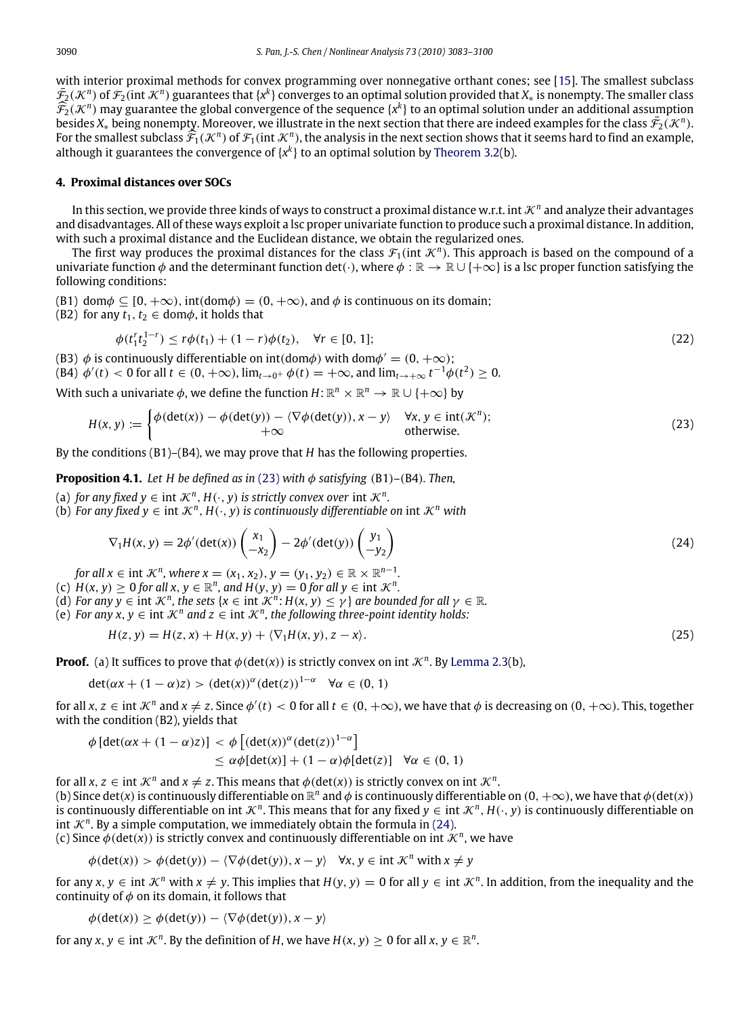with interior proximal methods for convex programming over nonnegative orthant cones; see [\[15\]](#page-17-8). The smallest subclass  $\bar{\mathcal{F}}_2(\mathcal{K}^n)$  of  $\mathcal{F}_2($ int  $\mathcal{K}^n)$  guarantees that {x<sup>k</sup>} converges to an optimal solution provided that  $X_*$  is nonempty. The smaller class  $\widehat{\mathcal{F}}_2(\mathcal{K}^n)$  may guarantee the global convergence of the sequence { $x^k$ } to an optimal solution under an additional assumption begins to the sequence { $\widehat{x}$  ( $\mathcal{K}^n$ )} besides  $X_*$  being nonempty. Moreover, we illustrate in the next section that there are indeed examples for the class  $\bar{\mathcal{F}_2}(\mathcal{K}^n)$ . For the smallest subclass  $\widehat{\mathcal{F}}_1(\mathcal{K}^n)$  of  $\mathcal{F}_1(\text{int }\mathcal{K}^n)$ , the analysis in the next section shows that it seems hard to find an example, although it guarantees the convergence of  $\mathcal{K}^h$  to an optimal although it guarantees the convergence of  $\{x^k\}$  to an optimal solution by [Theorem 3.2\(](#page-6-0)b).

### <span id="page-7-0"></span>**4. Proximal distances over SOCs**

In this section, we provide three kinds of ways to construct a proximal distance w.r.t. int  $\mathcal{K}^n$  and analyze their advantages and disadvantages. All of these ways exploit a lsc proper univariate function to produce such a proximal distance. In addition, with such a proximal distance and the Euclidean distance, we obtain the regularized ones.

The first way produces the proximal distances for the class  $\mathcal{F}_1(\text{int }\mathcal{K}^n)$ . This approach is based on the compound of a univariate function  $\phi$  and the determinant function det(·), where  $\phi : \mathbb{R} \to \mathbb{R} \cup \{+\infty\}$  is a lsc proper function satisfying the following conditions:

(B1) dom $\phi \subseteq [0, +\infty)$ , int(dom $\phi \equiv (0, +\infty)$ , and  $\phi$  is continuous on its domain;

(B2) for any  $t_1, t_2 \in \text{dom}\phi$ , it holds that

<span id="page-7-1"></span>
$$
\phi(t_1^r t_2^{1-r}) \le r\phi(t_1) + (1-r)\phi(t_2), \quad \forall r \in [0, 1];\tag{22}
$$

(B3)  $\phi$  is continuously differentiable on int(dom $\phi$ ) with dom $\phi' = (0, +\infty)$ ;

 $($ B4 $)$   $\phi'(t) < 0$  for all  $t \in (0, +\infty)$ ,  $\lim_{t \to 0^+} \phi(t) = +\infty$ , and  $\lim_{t \to +\infty} t^{-1} \phi(t^2) \ge 0$ .

With such a univariate  $\phi$ , we define the function  $H: \mathbb{R}^n \times \mathbb{R}^n \to \mathbb{R} \cup \{+\infty\}$  by

$$
H(x, y) := \begin{cases} \phi(\det(x)) - \phi(\det(y)) - \langle \nabla \phi(\det(y)), x - y \rangle & \forall x, y \in \text{int}(\mathcal{K}^n); \\ +\infty & \text{otherwise.} \end{cases}
$$
(23)

By the conditions (B1)–(B4), we may prove that *H* has the following properties.

**Proposition 4.1.** *Let H be defined as in* [\(23\)](#page-7-1) *with*  $\phi$  *satisfying* (B1)–(B4)*. Then,* 

(a) *for any fixed y*  $\in$  int  $\mathcal{K}^n$ ,  $H(\cdot, y)$  *is strictly convex over* int  $\mathcal{K}^n$ *.* 

(b) For any fixed  $y \in \text{int } \mathcal{K}^n$ ,  $H(\cdot, y)$  is continuously differentiable on int  $\mathcal{K}^n$  with

<span id="page-7-3"></span><span id="page-7-2"></span>
$$
\nabla_1 H(x, y) = 2\phi'(\det(x)) \begin{pmatrix} x_1 \\ -x_2 \end{pmatrix} - 2\phi'(\det(y)) \begin{pmatrix} y_1 \\ -y_2 \end{pmatrix}
$$
 (24)

*for all*  $x \in \text{int } \mathcal{K}^n$ , where  $x = (x_1, x_2), y = (y_1, y_2) \in \mathbb{R} \times \mathbb{R}^{n-1}$ .

- (c)  $H(x, y) \ge 0$  *for all x*,  $y \in \mathbb{R}^n$ *, and*  $H(y, y) = 0$  *for all*  $y \in \text{int } \mathcal{K}^n$ *.*
- (d) *For any y*  $\in$  int  $\mathcal{K}^n$ *, the sets* { $x \in \text{int } \mathcal{K}^n$ *: H*( $x, y$ )  $\leq \gamma$ } *are bounded for all*  $\gamma \in \mathbb{R}$ *.*
- (e) *For any x, y* ∈ int  $\mathcal{K}^n$  and  $z$  ∈ int  $\mathcal{K}^n$ , the following three-point identity holds:

$$
H(z, y) = H(z, x) + H(x, y) + \langle \nabla_1 H(x, y), z - x \rangle.
$$
\n<sup>(25)</sup>

**Proof.** (a) It suffices to prove that  $\phi$ (det(x)) is strictly convex on int  $\mathcal{K}^n$ . By [Lemma 2.3\(](#page-2-4)b),

$$
\det(\alpha x + (1 - \alpha)z) > (\det(x))^{\alpha} (\det(z))^{1 - \alpha} \quad \forall \alpha \in (0, 1)
$$

for all  $x, z \in \text{int } \mathcal{K}^n$  and  $x \neq z$ . Since  $\phi'(t) < 0$  for all  $t \in (0, +\infty)$ , we have that  $\phi$  is decreasing on  $(0, +\infty)$ . This, together with the condition (B2), yields that

$$
\phi \left[ \det(\alpha x + (1 - \alpha)z) \right] < \phi \left[ \left( \det(x) \right)^{\alpha} \left( \det(z) \right)^{1 - \alpha} \right] \\
&\leq \alpha \phi \left[ \det(x) \right] + (1 - \alpha) \phi \left[ \det(z) \right] \quad \forall \alpha \in (0, 1)
$$

for all  $x, z \in \text{int } \mathcal{K}^n$  and  $x \neq z$ . This means that  $\phi(\det(x))$  is strictly convex on int  $\mathcal{K}^n$ . (b) Since det(*x*) is continuously differentiable on  $\mathbb{R}^n$  and  $\phi$  is continuously differentiable on  $(0, +\infty)$ , we have that  $\phi$ (det(*x*)) is continuously differentiable on int  $K^n$ . This means that for any fixed  $y \in \text{int }\mathcal{K}^n$ ,  $H(\cdot, y)$  is continuously differentiable on int  $\mathcal{K}^n$ . By a simple computation, we immediately obtain the formula in [\(24\).](#page-7-2)

(c) Since  $\phi$ (det(x)) is strictly convex and continuously differentiable on int  $\mathcal{K}^n$ , we have

$$
\phi(\det(x)) > \phi(\det(y)) - \langle \nabla \phi(\det(y)), x - y \rangle \quad \forall x, y \in \text{int } \mathcal{K}^n \text{ with } x \neq y
$$

for any  $x, y \in \text{int } \mathcal{K}^n$  with  $x \neq y$ . This implies that  $H(y, y) = 0$  for all  $y \in \text{int } \mathcal{K}^n$ . In addition, from the inequality and the continuity of  $\phi$  on its domain, it follows that

$$
\phi(\det(x)) \ge \phi(\det(y)) - \langle \nabla \phi(\det(y)), x - y \rangle
$$

for any  $x, y \in \text{int } \mathcal{K}^n$ . By the definition of *H*, we have  $H(x, y) \ge 0$  for all  $x, y \in \mathbb{R}^n$ .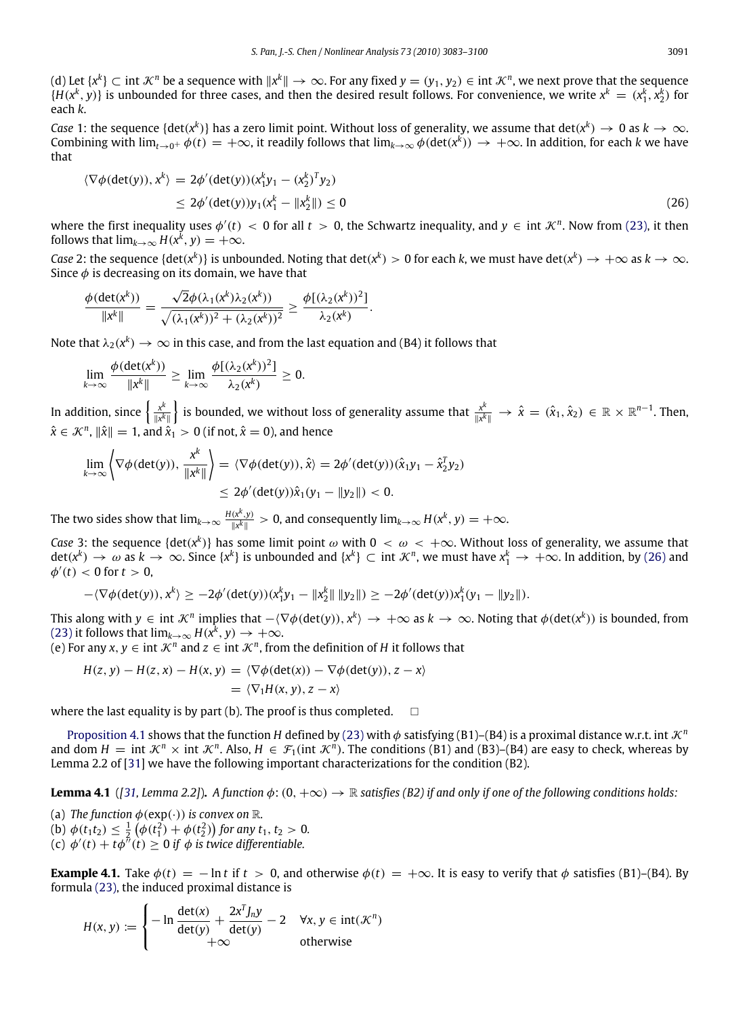(d) Let { $x^k$ } ⊂ int  $\mathcal{K}^n$  be a sequence with  $\|x^k\|\to\infty$ . For any fixed  $y=(y_1,y_2)\in$  int  $\mathcal{K}^n$ , we next prove that the sequence  $\{H(x^k, y)\}\$ is unbounded for three cases, and then the desired result follows. For convenience, we write  $x^k = (x_1^k, x_2^k)$  for each *k*.

*Case* 1: the sequence {det(*x*<sup>k</sup>)} has a zero limit point. Without loss of generality, we assume that  $det(x^k) \to 0$  as  $k \to \infty$ . Combining with  $\lim_{t\to 0^+}\phi(t)=+\infty$ , it readily follows that  $\lim_{k\to\infty}\phi(\det(x^k))\to+\infty$ . In addition, for each *k* we have that

<span id="page-8-0"></span>
$$
\langle \nabla \phi(\det(y)), x^k \rangle = 2\phi'(\det(y)) (x_1^k y_1 - (x_2^k)^T y_2)
$$
  
\n
$$
\leq 2\phi'(\det(y)) y_1 (x_1^k - ||x_2^k||) \leq 0
$$
\n(26)

where the first inequality uses  $\phi'(t) < 0$  for all  $t > 0$ , the Schwartz inequality, and  $y \in \text{int } \mathcal{K}^n$ . Now from [\(23\),](#page-7-1) it then follows that  $\lim_{k\to\infty} H(x^k, y) = +\infty$ .

*Case* 2: the sequence {det( $x^k$ )} is unbounded. Noting that det( $x^k$ ) > 0 for each *k*, we must have det( $x^k$ )  $\to +\infty$  as  $k\to\infty$ . Since  $\phi$  is decreasing on its domain, we have that

$$
\frac{\phi(\det(x^k))}{\|x^k\|} = \frac{\sqrt{2}\phi(\lambda_1(x^k)\lambda_2(x^k))}{\sqrt{(\lambda_1(x^k))^2 + (\lambda_2(x^k))^2}} \geq \frac{\phi[(\lambda_2(x^k))^2]}{\lambda_2(x^k)}.
$$

Note that  $\lambda_2(x^k) \to \infty$  in this case, and from the last equation and (B4) it follows that

$$
\lim_{k\to\infty}\frac{\phi(\det(x^k))}{\|x^k\|}\geq \lim_{k\to\infty}\frac{\phi[(\lambda_2(x^k))^2]}{\lambda_2(x^k)}\geq 0.
$$

In addition, since  $\left\{\frac{x^k}{\sqrt{k}}\right\}$  $\frac{x^k}{\|x^k\|}\}$  is bounded, we without loss of generality assume that  $\frac{x^k}{\|x^k\|}$  $\frac{x^k}{\|x^k\|} \to \hat{x} = (\hat{x}_1, \hat{x}_2) \in \mathbb{R} \times \mathbb{R}^{n-1}$ . Then,  $\hat{\mathsf{x}} \in \mathcal{K}^n$ ,  $\|\hat{\mathsf{x}}\|=1$ , and  $\hat{\mathsf{x}}_1 > 0$  (if not,  $\hat{\mathsf{x}}=0$ ), and hence

$$
\lim_{k \to \infty} \left\langle \nabla \phi(\det(y)), \frac{x^k}{\|x^k\|} \right\rangle = \langle \nabla \phi(\det(y)), \hat{x} \rangle = 2\phi'(\det(y))(\hat{x}_1y_1 - \hat{x}_2^Ty_2) \le 2\phi'(\det(y))\hat{x}_1(y_1 - \|y_2\|) < 0.
$$

The two sides show that  $\lim_{k\to\infty}\frac{H(x^k,y)}{\|x^k\|}>0,$  and consequently  $\lim_{k\to\infty}H(x^k,y)=+\infty.$ 

*Case* 3: the sequence {det( $x^k$ )} has some limit point  $\omega$  with  $0 < \omega < +\infty$ . Without loss of generality, we assume that  $\det(x^k) \to \omega$  as  $k \to \infty$ . Since  $\{x^k\}$  is unbounded and  $\{x^k\} \subset \text{int } \mathcal{K}^n$ , we must have  $x_1^k \to +\infty$ . In addition, by [\(26\)](#page-8-0) and  $\phi'(t) < 0$  for  $t > 0$ ,

$$
-\langle \nabla \phi(\text{det}(y)), x^k \rangle \geq -2 \phi'(\text{det}(y)) (x_1^k y_1 - \|x_2^k\| \|y_2\|) \geq -2 \phi'(\text{det}(y)) x_1^k (y_1 - \|y_2\|).
$$

This along with  $y \in \text{int } \mathcal{K}^n$  implies that  $-\langle \nabla \phi(\det(y)), x^k \rangle \to +\infty$  as  $k \to \infty$ . Noting that  $\phi(\det(x^k))$  is bounded, from [\(23\)](#page-7-1) it follows that  $\lim_{k\to\infty} H(x^k, y) \to +\infty$ .

(e) For any  $x, y \in \text{int } \mathcal{K}^n$  and  $z \in \text{int } \mathcal{K}^n$ , from the definition of *H* it follows that

$$
H(z, y) - H(z, x) - H(x, y) = \langle \nabla \phi(\det(x)) - \nabla \phi(\det(y)), z - x \rangle
$$
  
=  $\langle \nabla_1 H(x, y), z - x \rangle$ 

where the last equality is by part (b). The proof is thus completed.  $\Box$ 

[Proposition 4.1](#page-7-3) shows that the function *H* defined by [\(23\)](#page-7-1) with  $\phi$  satisfying (B1)–(B4) is a proximal distance w.r.t. int  $\mathcal{K}^n$ and dom  $H = \text{int } \mathcal{K}^n \times \text{int } \mathcal{K}^n$ . Also,  $H \in \mathcal{F}_1(\text{int } \mathcal{K}^n)$ . The conditions (B1) and (B3)–(B4) are easy to check, whereas by Lemma 2.2 of [\[31\]](#page-17-14) we have the following important characterizations for the condition (B2).

**Lemma 4.1** ([\[31,](#page-17-14) *Lemma 2.2]*). A function  $\phi$ :  $(0, +\infty) \to \mathbb{R}$  satisfies (B2) if and only if one of the following conditions holds:

(a) *The function*  $\phi$ (exp(·)) *is convex on*  $\mathbb{R}$ *.* 

(b)  $\phi(t_1 t_2) \leq \frac{1}{2} (\phi(t_1^2) + \phi(t_2^2))$  for any  $t_1, t_2 > 0$ .

(c)  $\phi'(t) + t\phi''(t) \ge 0$  *if*  $\phi$  *is twice differentiable.* 

**Example 4.1.** Take  $\phi(t) = -\ln t$  if  $t > 0$ , and otherwise  $\phi(t) = +\infty$ . It is easy to verify that  $\phi$  satisfies (B1)–(B4). By formula [\(23\),](#page-7-1) the induced proximal distance is

<span id="page-8-1"></span>
$$
H(x, y) := \begin{cases} -\ln \frac{\det(x)}{\det(y)} + \frac{2x^T J_n y}{\det(y)} - 2 & \forall x, y \in \text{int}(\mathcal{K}^n) \\ +\infty & \text{otherwise} \end{cases}
$$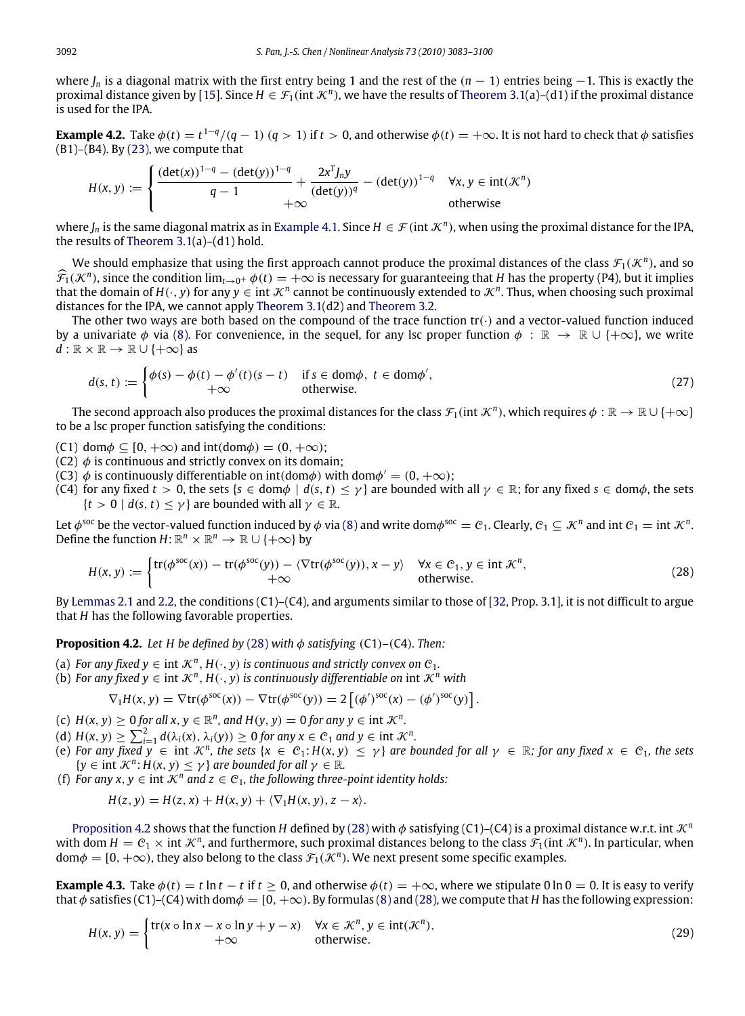where  $J_n$  is a diagonal matrix with the first entry being 1 and the rest of the  $(n - 1)$  entries being −1. This is exactly the proximal distance given by [\[15\]](#page-17-8). Since  $H \in \mathcal{F}_1(\text{int }\mathcal{K}^n)$ , we have the results of [Theorem 3.1\(](#page-4-2)a)–(d1) if the proximal distance is used for the IPA.

**Example 4.2.** Take  $\phi(t) = t^{1-q}/(q-1)$   $(q>1)$  if  $t>0$ , and otherwise  $\phi(t) = +\infty$ . It is not hard to check that  $\phi$  satisfies  $(B1)$ – $(B4)$ . By  $(23)$ , we compute that

$$
H(x,y) := \begin{cases} \frac{(\det(x))^{1-q} - (\det(y))^{1-q}}{q-1} + \frac{2x^T J_n y}{(\det(y))^q} - (\det(y))^{1-q} & \forall x, y \in \text{int}(\mathcal{K}^n) \\ +\infty & \text{otherwise} \end{cases}
$$

where  $J_n$  is the same diagonal matrix as in [Example 4.1.](#page-8-1) Since  $H \in \mathcal{F}$  (int  $\mathcal{K}^n$ ), when using the proximal distance for the IPA, the results of Theorem  $3.1(a)-(d1)$  hold.

We should emphasize that using the first approach cannot produce the proximal distances of the class  $\mathcal F_1(\mathcal K^n)$ , and so  $\widehat{\mathcal{F}}_1(\mathcal{K}^n)$ , since the condition  $\lim_{t\to 0^+} \phi(t) = +\infty$  is necessary for guaranteeing that *H* has the property (P4), but it implies that the domain of  $H(\cdot, y)$  for any  $y \in \text{int }\mathcal{K}^n$  cannot be continuously extended to  $\mathcal{K}^n$ . Thus, when choosing such proximal distances for the IPA, we cannot apply [Theorem 3.1\(](#page-4-2)d2) and [Theorem 3.2.](#page-6-0)

The other two ways are both based on the compound of the trace function  $tr(\cdot)$  and a vector-valued function induced by a univariate  $\phi$  via [\(8\).](#page-2-1) For convenience, in the sequel, for any lsc proper function  $\phi : \mathbb{R} \to \mathbb{R} \cup \{+\infty\}$ , we write  $d : \mathbb{R} \times \mathbb{R} \to \mathbb{R} \cup \{+\infty\}$  as

<span id="page-9-3"></span>
$$
d(s, t) := \begin{cases} \phi(s) - \phi(t) - \phi'(t)(s - t) & \text{if } s \in \text{dom}\phi, \ t \in \text{dom}\phi', \\ +\infty & \text{otherwise.} \end{cases} \tag{27}
$$

The second approach also produces the proximal distances for the class  $\mathcal{F}_1(\text{int}\,\mathcal{K}^n)$ , which requires  $\phi:\R\to\R\cup\{+\infty\}$ to be a lsc proper function satisfying the conditions:

- (C1) dom $\phi \subseteq [0, +\infty)$  and int(dom $\phi$ ) = (0,  $+\infty$ );
- (C2)  $\phi$  is continuous and strictly convex on its domain;
- (C3)  $\dot{\phi}$  is continuously differentiable on int(dom $\phi$ ) with dom $\phi' = (0, +\infty)$ ;
- (C4) for any fixed  $t > 0$ , the sets  $\{s \in \text{dom}\phi \mid d(s, t) \leq \gamma\}$  are bounded with all  $\gamma \in \mathbb{R}$ ; for any fixed  $s \in \text{dom}\phi$ , the sets  ${t > 0 \mid d(s, t) < \gamma}$  are bounded with all  $\gamma \in \mathbb{R}$ .

Let  $\phi^\text{soc}$  be the vector-valued function induced by  $\phi$  via [\(8\)](#page-2-1) and write dom $\phi^\text{soc}=e_1$ . Clearly,  $e_1\subseteq\mathcal{K}^n$  and int  $e_1=$  int  $\mathcal{K}^n$ . Define the function  $H: \mathbb{R}^n \times \mathbb{R}^n \to \mathbb{R} \cup \{+\infty\}$  by

$$
H(x, y) := \begin{cases} tr(\phi^{\text{soc}}(x)) - tr(\phi^{\text{soc}}(y)) - \langle \nabla tr(\phi^{\text{soc}}(y)), x - y \rangle & \forall x \in \mathcal{C}_1, y \in \text{int } \mathcal{K}^n, \\ +\infty & \text{otherwise.} \end{cases}
$$
 (28)

By [Lemmas 2.1](#page-2-2) and [2.2,](#page-2-3) the conditions (C1)–(C4), and arguments similar to those of [\[32,](#page-17-15) Prop. 3.1], it is not difficult to argue that *H* has the following favorable properties.

**Proposition 4.2.** *Let H be defined by* [\(28\)](#page-9-0) *with*  $\phi$  *satisfying* (C1)–(C4)*. Then:* 

- (a) *For any fixed*  $y \in \text{int } \mathcal{K}^n$ *,*  $H(\cdot, y)$  *is continuous and strictly convex on*  $\mathcal{C}_1$ *.*
- (b) *For any fixed y* ∈ int  $\mathcal{K}^n$ , *H*( $\cdot$ , *y*) *is continuously differentiable on* int  $\mathcal{K}^n$  *with*

<span id="page-9-1"></span><span id="page-9-0"></span>
$$
\nabla_1 H(x, y) = \nabla \text{tr}(\phi^{\text{soc}}(x)) - \nabla \text{tr}(\phi^{\text{soc}}(y)) = 2 \left[ (\phi')^{\text{soc}}(x) - (\phi')^{\text{soc}}(y) \right].
$$

- (c)  $H(x, y) \ge 0$  *for all x*,  $y \in \mathbb{R}^n$ *, and*  $H(y, y) = 0$  *for any*  $y \in \text{int } \mathcal{K}^n$ *.*
- (d)  $H(x, y) \ge \sum_{i=1}^{2} d(\lambda_i(x), \lambda_i(y)) \ge 0$  for any  $x \in C_1$  and  $y \in \text{int } \mathcal{K}^n$ .
- (e) For any fixed  $y \in \text{int } \mathcal{K}^n$ , the sets  $\{x \in C_1 : H(x, y) \leq y\}$  are bounded for all  $\gamma \in \mathbb{R}$ ; for any fixed  $x \in C_1$ , the sets  ${y \in \text{int } \mathcal{K}^n : H(x, y) \leq \gamma}$  *are bounded for all*  $\gamma \in \mathbb{R}$ *.*
- (f) *For any*  $x, y \in \text{int } \mathcal{K}^n$  *and*  $z \in C_1$ *, the following three-point identity holds:*

$$
H(z, y) = H(z, x) + H(x, y) + \langle \nabla_1 H(x, y), z - x \rangle.
$$

[Proposition 4.2](#page-9-1) shows that the function *H* defined by [\(28\)](#page-9-0) with  $\phi$  satisfying (C1)–(C4) is a proximal distance w.r.t. int  $\mathcal{K}^n$ with dom  $H = C_1 \times \text{int } \mathcal{K}^n$ , and furthermore, such proximal distances belong to the class  $\mathcal{F}_1(\text{int } \mathcal{K}^n)$ . In particular, when  $\text{dom}\phi = [0, +\infty)$ , they also belong to the class  $\mathcal{F}_1(\mathcal{K}^n)$ . We next present some specific examples.

**Example 4.3.** Take  $\phi(t) = t \ln t - t$  if  $t \ge 0$ , and otherwise  $\phi(t) = +\infty$ , where we stipulate 0 ln 0 = 0. It is easy to verify that  $\phi$  satisfies (C1)–(C4) with dom $\phi = [0, +\infty)$ . By formulas [\(8\)](#page-2-1) and [\(28\),](#page-9-0) we compute that *H* has the following expression:

<span id="page-9-2"></span>
$$
H(x, y) = \begin{cases} \text{tr}(x \circ \ln x - x \circ \ln y + y - x) & \forall x \in \mathcal{K}^n, y \in \text{int}(\mathcal{K}^n), \\ +\infty & \text{otherwise.} \end{cases}
$$
(29)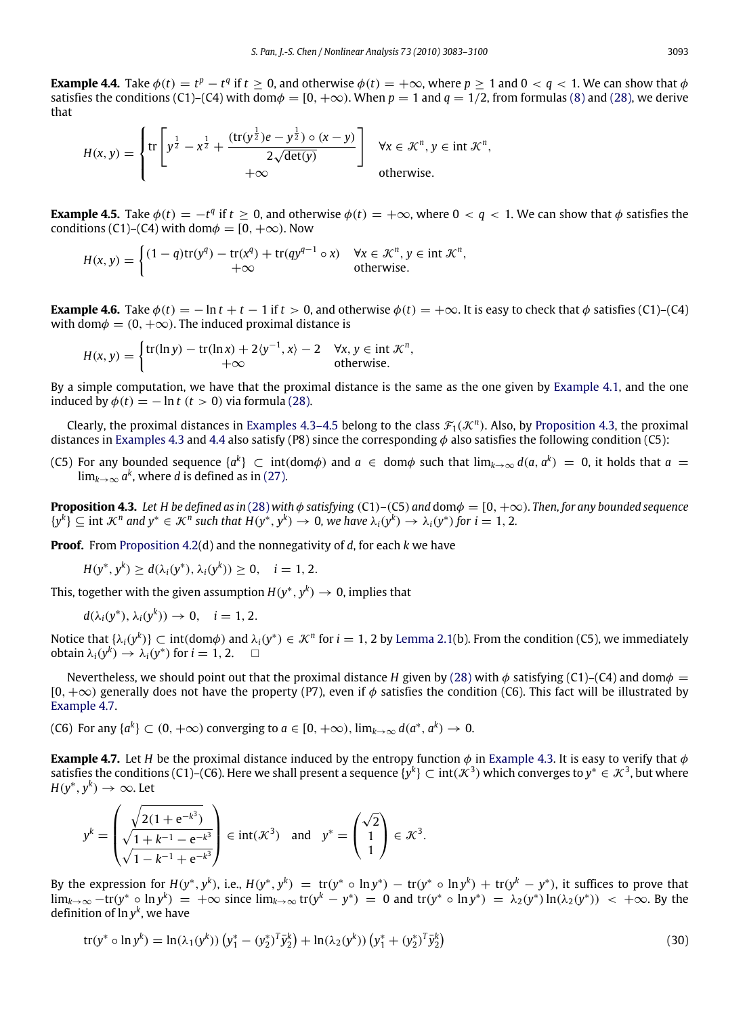**Example 4.4.** Take  $\phi(t) = t^p - t^q$  if  $t \ge 0$ , and otherwise  $\phi(t) = +\infty$ , where  $p \ge 1$  and  $0 < q < 1$ . We can show that  $\phi$ satisfies the conditions (C1)–(C4) with dom $\phi = [0, +\infty)$ . When  $p = 1$  and  $q = 1/2$ , from formulas [\(8\)](#page-2-1) and [\(28\),](#page-9-0) we derive that

<span id="page-10-1"></span>
$$
H(x,y) = \begin{cases} tr \left[ y^{\frac{1}{2}} - x^{\frac{1}{2}} + \frac{(tr(y^{\frac{1}{2}})e - y^{\frac{1}{2}}) \circ (x - y)}{2\sqrt{\det(y)}} \right] & \forall x \in \mathcal{K}^n, y \in \text{int } \mathcal{K}^n, \\ +\infty & \text{otherwise.} \end{cases}
$$

**Example 4.5.** Take  $\phi(t) = -t^q$  if  $t \ge 0$ , and otherwise  $\phi(t) = +\infty$ , where  $0 < q < 1$ . We can show that  $\phi$  satisfies the conditions (C1)–(C4) with dom $\phi = [0, +\infty)$ . Now

$$
H(x, y) = \begin{cases} (1 - q)\text{tr}(y^q) - \text{tr}(x^q) + \text{tr}(qy^{q-1} \circ x) & \forall x \in \mathcal{K}^n, y \in \text{int } \mathcal{K}^n, \\ +\infty & \text{otherwise.} \end{cases}
$$

**Example 4.6.** Take  $\phi(t) = -\ln t + t - 1$  if  $t > 0$ , and otherwise  $\phi(t) = +\infty$ . It is easy to check that  $\phi$  satisfies (C1)–(C4) with dom $\phi = (0, +\infty)$ . The induced proximal distance is

$$
H(x, y) = \begin{cases} tr(\ln y) - tr(\ln x) + 2\langle y^{-1}, x \rangle - 2 & \forall x, y \in \text{int } \mathcal{K}^n, \\ +\infty & \text{otherwise.} \end{cases}
$$

By a simple computation, we have that the proximal distance is the same as the one given by [Example 4.1,](#page-8-1) and the one induced by  $\phi(t) = -\ln t$  ( $t > 0$ ) via formula [\(28\).](#page-9-0)

Clearly, the proximal distances in [Examples 4.3–4.5](#page-9-2) belong to the class  $\mathcal{F}_1(\mathcal{K}^n)$ . Also, by [Proposition 4.3,](#page-10-0) the proximal distances in [Examples 4.3](#page-9-2) and [4.4](#page-10-1) also satisfy (P8) since the corresponding  $\phi$  also satisfies the following condition (C5):

(C5) For any bounded sequence  $\{a^k\} \subset \int$  int $(\text{dom}\phi)$  and  $a \in \text{dom}\phi$  such that  $\lim_{k\to\infty} d(a, a^k) = 0$ , it holds that  $a = 0$  $\lim_{k\to\infty}a^k$ , where *d* is defined as in [\(27\).](#page-9-3)

**Proposition 4.3.** *Let H be defined as in* [\(28\)](#page-9-0) *with* φ *satisfying* (C1)–(C5) *and* domφ = [0, +∞)*. Then, for any bounded sequence*  ${y^k}$  $\subseteq$  int  $\mathcal{K}^n$  and  $y^* \in \mathcal{K}^n$  such that  $H(y^*, y^k) \to 0$ , we have  $\lambda_i(y^k) \to \lambda_i(y^*)$  for  $i = 1, 2$ .

**Proof.** From [Proposition 4.2\(](#page-9-1)d) and the nonnegativity of *d*, for each *k* we have

<span id="page-10-0"></span>
$$
H(y^*, y^k) \ge d(\lambda_i(y^*), \lambda_i(y^k)) \ge 0, \quad i = 1, 2.
$$

This, together with the given assumption  $H(y^*, y^k) \to 0$ , implies that

 $d(\lambda_i(y^*), \lambda_i(y^k)) \to 0, \quad i = 1, 2.$ 

Notice that  $\{\lambda_i(y^k)\}\subset\text{int}(\text{dom}\phi)$  and  $\lambda_i(y^*)\in\mathcal{K}^n$  for  $i=1,2$  by [Lemma 2.1\(](#page-2-2)b). From the condition (C5), we immediately  $\phi$  obtain  $\lambda_i(y^k) \to \lambda_i(y^*)$  for  $i = 1, 2$ .

Nevertheless, we should point out that the proximal distance *H* given by [\(28\)](#page-9-0) with  $\phi$  satisfying (C1)–(C4) and dom $\phi$  =  $[0, +\infty)$  generally does not have the property (P7), even if  $\phi$  satisfies the condition (C6). This fact will be illustrated by [Example 4.7.](#page-10-2)

(C6) For any  $\{a^k\} \subset (0, +\infty)$  converging to  $a \in [0, +\infty)$ ,  $\lim_{k \to \infty} d(a^*, a^k) \to 0$ .

**Example 4.7.** Let *H* be the proximal distance induced by the entropy function φ in [Example 4.3.](#page-9-2) It is easy to verify that φ satisfies the conditions (C1)–(C6). Here we shall present a sequence  $\{y^k\}\subset \text{int}(\mathcal{K}^3)$  which converges to  $y^*\in\mathcal{K}^3$ , but where  $H(y^*, y^k) \to \infty$ . Let

<span id="page-10-2"></span>
$$
y^{k} = \begin{pmatrix} \sqrt{2(1 + e^{-k^{3}})} \\ \sqrt{1 + k^{-1} - e^{-k^{3}}} \\ \sqrt{1 - k^{-1} + e^{-k^{3}}} \end{pmatrix} \in \text{int}(\mathcal{K}^{3}) \text{ and } y^{*} = \begin{pmatrix} \sqrt{2} \\ 1 \\ 1 \end{pmatrix} \in \mathcal{K}^{3}.
$$

By the expression for  $H(y^*, y^k)$ , i.e.,  $H(y^*, y^k) = \text{tr}(y^* \circ \ln y^*) - \text{tr}(y^* \circ \ln y^k) + \text{tr}(y^k - y^*)$ , it suffices to prove that  $\lim_{k\to\infty} -\text{tr}(y^*) = \lim_{k\to\infty} \text{ since } \lim_{k\to\infty} \text{tr}(y^k - y^*) = 0$  and  $\text{tr}(y^* \circ \ln y^*) = \lambda_2(y^*) \ln(\lambda_2(y^*)) < +\infty$ . By the definition of  $\ln y^k$ , we have

$$
\text{tr}(y^* \circ \ln y^k) = \ln(\lambda_1(y^k)) \left( y_1^* - (y_2^*)^T \bar{y}_2^k \right) + \ln(\lambda_2(y^k)) \left( y_1^* + (y_2^*)^T \bar{y}_2^k \right) \tag{30}
$$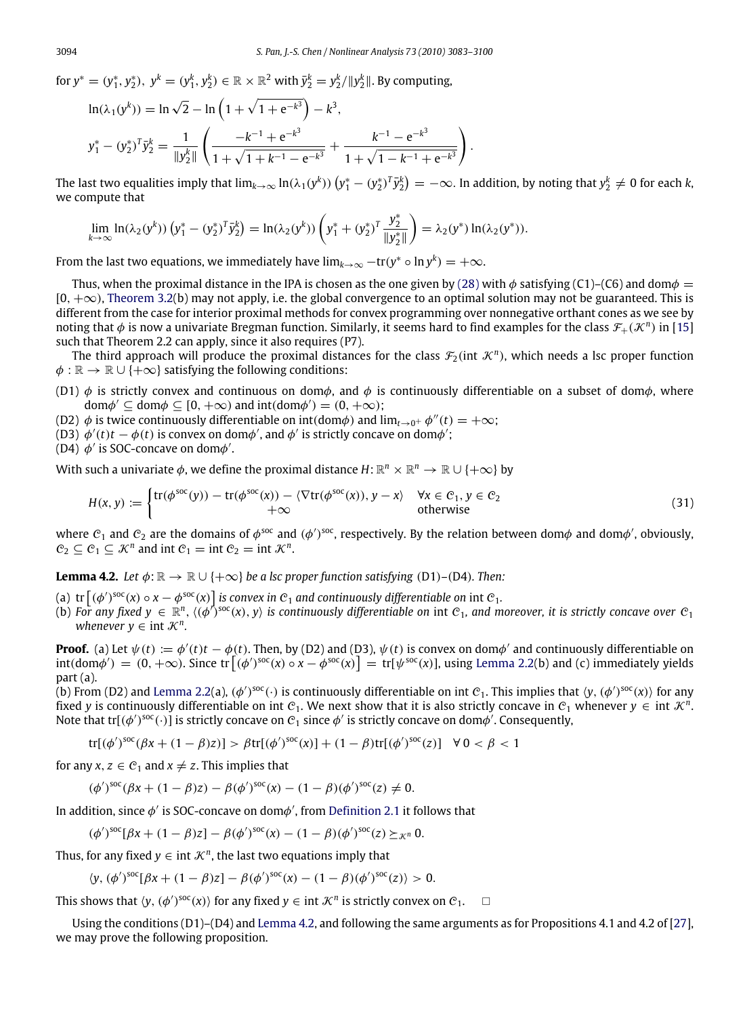for  $y^* = (y_1^*, y_2^*)$ ,  $y^k = (y_1^k, y_2^k) \in \mathbb{R} \times \mathbb{R}^2$  with  $\bar{y}_2^k = y_2^k / \|y_2^k\|$ . By computing,

$$
\ln(\lambda_1(y^k)) = \ln \sqrt{2} - \ln \left( 1 + \sqrt{1 + e^{-k^3}} \right) - k^3,
$$
  

$$
y_1^* - (y_2^*)^T \bar{y}_2^k = \frac{1}{\|y_2^k\|} \left( \frac{-k^{-1} + e^{-k^3}}{1 + \sqrt{1 + k^{-1} - e^{-k^3}}} + \frac{k^{-1} - e^{-k^3}}{1 + \sqrt{1 - k^{-1} + e^{-k^3}}} \right)
$$

The last two equalities imply that  $\lim_{k\to\infty}\ln(\lambda_1(y^k))\left(y^*_1-(y^*_2)^T\bar{y}^k_2\right)=-\infty.$  In addition, by noting that  $y^k_2\neq 0$  for each  $k,$ we compute that

<span id="page-11-1"></span>.

$$
\lim_{k\to\infty}\ln(\lambda_2(y^k))\left(y_1^*-(y_2^*)^T\bar{y}_2^k\right)=\ln(\lambda_2(y^k))\left(y_1^*+(y_2^*)^T\frac{y_2^*}{\|y_2^*\|}\right)=\lambda_2(y^*)\ln(\lambda_2(y^*)).
$$

From the last two equations, we immediately have  $\lim_{k\to\infty}-\text{tr}(y^*\circ\ln y^k)=+\infty.$ 

Thus, when the proximal distance in the IPA is chosen as the one given by [\(28\)](#page-9-0) with  $\phi$  satisfying (C1)–(C6) and dom $\phi =$  $[0, +\infty)$ , [Theorem 3.2\(](#page-6-0)b) may not apply, i.e. the global convergence to an optimal solution may not be guaranteed. This is different from the case for interior proximal methods for convex programming over nonnegative orthant cones as we see by noting that  $\phi$  is now a univariate Bregman function. Similarly, it seems hard to find examples for the class  $\mathcal{F}_+(\mathcal{K}^n)$  in [\[15\]](#page-17-8) such that Theorem 2.2 can apply, since it also requires (P7).

The third approach will produce the proximal distances for the class  $\mathcal{F}_2(\text{int }\mathcal{K}^n)$ , which needs a lsc proper function  $\phi : \mathbb{R} \to \mathbb{R} \cup \{+\infty\}$  satisfying the following conditions:

- (D1)  $\phi$  is strictly convex and continuous on dom $\phi$ , and  $\phi$  is continuously differentiable on a subset of dom $\phi$ , where dom $\phi' \subseteq \text{dom}\phi \subseteq [0, +\infty)$  and  $\text{int}(\text{dom}\phi') = (0, +\infty)$ ;
- (D2)  $\phi$  is twice continuously differentiable on int(dom $\phi$ ) and  $\lim_{t\to 0^+} \phi''(t) = +\infty$ ;
- (D3)  $\phi'(t)t \phi(t)$  is convex on dom $\phi'$ , and  $\phi'$  is strictly concave on dom $\phi'$ ;

(D4)  $\phi'$  is SOC-concave on dom $\phi'$ .

With such a univariate  $\phi$ , we define the proximal distance  $H: \mathbb{R}^n \times \mathbb{R}^n \to \mathbb{R} \cup \{+\infty\}$  by

$$
H(x, y) := \begin{cases} tr(\phi^{\text{soc}}(y)) - tr(\phi^{\text{soc}}(x)) - \langle \nabla tr(\phi^{\text{soc}}(x)), y - x \rangle & \forall x \in \mathcal{C}_1, y \in \mathcal{C}_2 \\ +\infty & \text{otherwise} \end{cases}
$$
(31)

where  $C_1$  and  $C_2$  are the domains of  $\phi^{soc}$  and  $(\phi')^{soc}$ , respectively. By the relation between dom $\phi$  and dom $\phi'$ , obviously,  $C_2 \subseteq C_1 \subseteq \mathcal{K}^n$  and int  $C_1 = \text{int } C_2 = \text{int } \mathcal{K}^n$ .

<span id="page-11-0"></span>**Lemma 4.2.** *Let*  $\phi: \mathbb{R} \to \mathbb{R} \cup \{+\infty\}$  *be a lsc proper function satisfying* (D1)–(D4)*. Then:* 

- (a)  $\text{tr}\left[ (\phi')^{\text{soc}}(x) \circ x \phi^{\text{soc}}(x) \right]$  *is convex in*  $\mathcal{C}_1$  *and continuously differentiable on* int  $\mathcal{C}_1$ *.*
- (b) For any fixed  $y \in \mathbb{R}^n$ ,  $\langle (\phi')^{soc}(x), y \rangle$  is continuously differentiable on int C<sub>1</sub>, and moreover, it is strictly concave over C<sub>1</sub> *whenever*  $y \in \text{int } \mathcal{K}^n$ .

**Proof.** (a) Let  $\psi(t) := \phi'(t)t - \phi(t)$ . Then, by (D2) and (D3),  $\psi(t)$  is convex on dom $\phi'$  and continuously differentiable on  $\text{int}(\text{dom}\phi') = (0, +\infty)$ . Since  $\text{tr}[(\phi')^{\text{soc}}(x) \circ x - \phi^{\text{soc}}(x)] = \text{tr}[\psi^{\text{soc}}(x)]$ , using [Lemma 2.2\(](#page-2-3)b) and (c) immediately yields part (a).

(b) From (D2) and [Lemma 2.2\(](#page-2-3)a), ( $\phi'$ )<sup>soc</sup>(·) is continuously differentiable on int  $c_1$ . This implies that  $\langle y,(\phi')^{\rm soc}(x)\rangle$  for any fixed *y* is continuously differentiable on int  $C_1$ . We next show that it is also strictly concave in  $C_1$  whenever  $y \in \text{int } \mathcal{K}^n$ . Note that tr[( $\phi'$ )<sup>soc</sup>( $\cdot$ )] is strictly concave on  $\mathcal C_1$  since  $\phi'$  is strictly concave on dom $\phi'$ . Consequently,

$$
\text{tr}[(\phi')^{\text{soc}}(\beta x + (1-\beta)z)] > \beta \text{tr}[(\phi')^{\text{soc}}(x)] + (1-\beta)\text{tr}[(\phi')^{\text{soc}}(z)] \quad \forall \ 0 < \beta < 1
$$

for any  $x, z \in C_1$  and  $x \neq z$ . This implies that

$$
(\phi')^{\text{soc}}(\beta x + (1 - \beta)z) - \beta (\phi')^{\text{soc}}(x) - (1 - \beta)(\phi')^{\text{soc}}(z) \neq 0.
$$

In addition, since  $\phi'$  is SOC-concave on dom $\phi'$ , from [Definition 2.1](#page-3-4) it follows that

$$
(\phi')^{\text{soc}}[\beta x + (1 - \beta)z] - \beta (\phi')^{\text{soc}}(x) - (1 - \beta)(\phi')^{\text{soc}}(z) \succeq_{\mathcal{K}^n} 0.
$$

Thus, for any fixed  $y \in \text{int }\mathcal{K}^n$ , the last two equations imply that

$$
\langle y, (\phi')^{\text{soc}}[\beta x + (1 - \beta)z] - \beta (\phi')^{\text{soc}}(x) - (1 - \beta)(\phi')^{\text{soc}}(z) \rangle > 0.
$$

This shows that  $\langle y, (\phi')^{soc}(x) \rangle$  for any fixed  $y \in \text{int } \mathcal{K}^n$  is strictly convex on  $\mathcal{C}_1$ .  $\Box$ 

Using the conditions (D1)–(D4) and [Lemma 4.2,](#page-11-0) and following the same arguments as for Propositions 4.1 and 4.2 of [\[27\]](#page-17-10), we may prove the following proposition.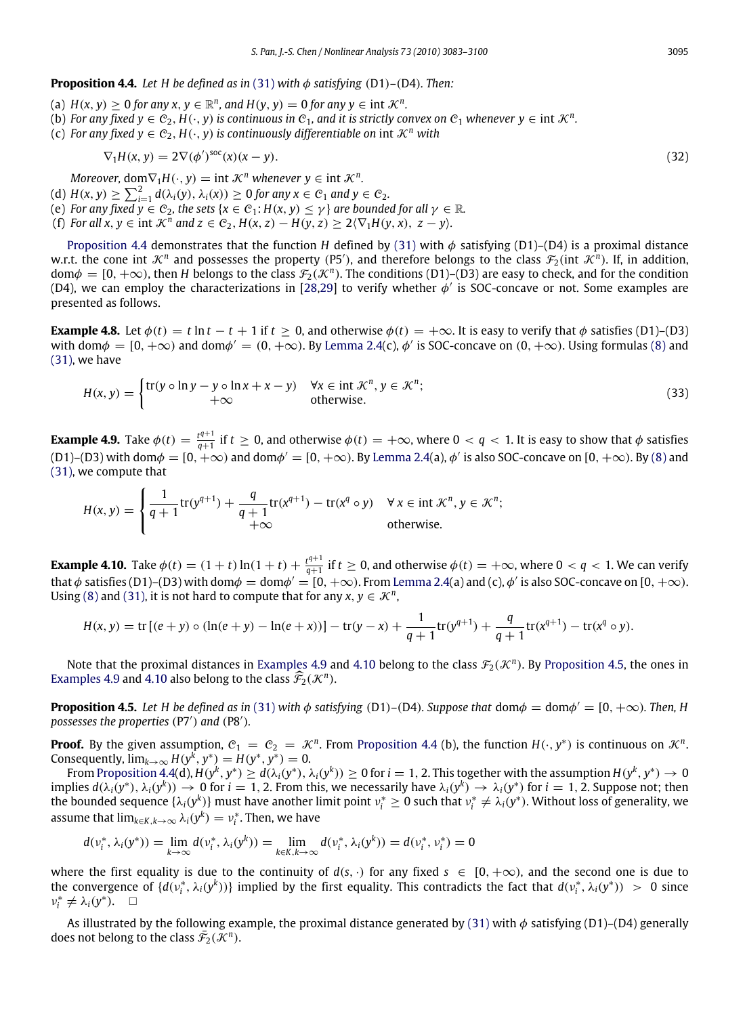<span id="page-12-0"></span>**Proposition 4.4.** Let H be defined as in [\(31\)](#page-11-1) with  $\phi$  satisfying (D1)–(D4). Then:

(a)  $H(x, y) \ge 0$  *for any x, y*  $\in \mathbb{R}^n$ *, and*  $H(y, y) = 0$  *for any*  $y \in \text{int } \mathcal{K}^n$ *.* 

(b) For any fixed  $y \in C_2$ ,  $H(\cdot, y)$  is continuous in  $C_1$ , and it is strictly convex on  $C_1$  whenever  $y \in \text{int } \mathcal{K}^n$ .

(c) *For any fixed*  $y \in C_2$ *,*  $H(\cdot, y)$  *is continuously differentiable on int*  $\mathcal{K}^n$  *with* 

$$
\nabla_1 H(x, y) = 2 \nabla (\phi')^{\text{soc}}(x)(x - y). \tag{32}
$$

*Moreover,* dom $\nabla_1 H(\cdot, y) = \text{int }\mathcal{K}^n$  *whenever*  $y \in \text{int }\mathcal{K}^n$ *.* 

<span id="page-12-2"></span> $\epsilon$ 

- $(A) H(x, y) \ge \sum_{i=1}^{2} d(\lambda_i(y), \lambda_i(x)) \ge 0$  for any  $x \in C_1$  and  $y \in C_2$ .
- (e) *For any fixed*  $y \in C_2$ *, the sets* { $x \in C_1$ :  $H(x, y) \le y$ } *are bounded for all*  $\gamma \in \mathbb{R}$ *.*
- (f) For all  $x, y \in \text{int } \mathcal{K}^n$  and  $z \in \mathcal{C}_2$ ,  $H(x, z) H(y, z) \geq 2\langle \nabla_1 H(y, x), z y \rangle$ .

[Proposition 4.4](#page-12-0) demonstrates that the function *H* defined by [\(31\)](#page-11-1) with  $\phi$  satisfying (D1)–(D4) is a proximal distance w.r.t. the cone int  $K^n$  and possesses the property (P5'), and therefore belongs to the class  $\mathcal{F}_2$ (int  $\mathcal{K}^n$ ). If, in addition,  $dom\phi = [0, +\infty)$ , then *H* belongs to the class  $\mathcal{F}_2(\mathcal{K}^n)$ . The conditions (D1)–(D3) are easy to check, and for the condition (D4), we can employ the characterizations in [\[28,](#page-17-11)[29\]](#page-17-12) to verify whether  $\phi'$  is SOC-concave or not. Some examples are presented as follows.

**Example 4.8.** Let  $\phi(t) = t \ln t - t + 1$  if  $t > 0$ , and otherwise  $\phi(t) = +\infty$ . It is easy to verify that  $\phi$  satisfies (D1)–(D3) with dom $\phi = [0, +\infty)$  and dom $\phi' = (0, +\infty)$ . By [Lemma 2.4\(](#page-3-5)c),  $\phi'$  is SOC-concave on  $(0, +\infty)$ . Using formulas [\(8\)](#page-2-1) and [\(31\),](#page-11-1) we have

<span id="page-12-4"></span><span id="page-12-1"></span>
$$
H(x, y) = \begin{cases} \text{tr}(y \circ \ln y - y \circ \ln x + x - y) & \forall x \in \text{int } \mathcal{K}^n, y \in \mathcal{K}^n; \\ +\infty & \text{otherwise.} \end{cases}
$$
(33)

**Example 4.9.** Take  $\phi(t) = \frac{t^{q+1}}{q+1}$  $q^{\frac{t^{q+1}}{q+1}}$  if  $t\geq 0$ , and otherwise  $\phi(t)=+\infty$ , where  $0< q < 1$ . It is easy to show that  $\phi$  satisfies (D1)–(D3) with dom $\phi=[0,+\infty)$  and dom $\phi'=[0,+\infty)$ . By [Lemma 2.4\(](#page-3-5)a),  $\phi'$  is also SOC-concave on [0,  $+\infty$ ). By [\(8\)](#page-2-1) and [\(31\),](#page-11-1) we compute that

$$
H(x, y) = \begin{cases} \frac{1}{q+1} \text{tr}(y^{q+1}) + \frac{q}{q+1} \text{tr}(x^{q+1}) - \text{tr}(x^q \circ y) & \forall x \in \text{int } \mathcal{K}^n, y \in \mathcal{K}^n; \\ +\infty & \text{otherwise.} \end{cases}
$$

**Example 4.10.** Take  $\phi(t) = (1 + t) \ln(1 + t) + \frac{t^{q+1}}{q+1}$  $q^{\frac{t^{q+1}}{q+1}}$  if  $t\geq 0$ , and otherwise  $\phi(t)=+\infty$ , where  $0< q < 1$ . We can verify that  $\phi$  satisfies (D1)–(D3) with dom $\phi=$  dom $\phi'=$  [0,  $+\infty$ ). From [Lemma 2.4\(](#page-3-5)a) and (c),  $\phi'$  is also SOC-concave on [0,  $+\infty$ ). Using [\(8\)](#page-2-1) and [\(31\),](#page-11-1) it is not hard to compute that for any  $x, y \in \mathcal{K}^n$ ,

$$
H(x, y) = \text{tr}[(e + y) \circ (\ln(e + y) - \ln(e + x))] - \text{tr}(y - x) + \frac{1}{q+1}\text{tr}(y^{q+1}) + \frac{q}{q+1}\text{tr}(x^{q+1}) - \text{tr}(x^q \circ y).
$$

Note that the proximal distances in [Examples 4.9](#page-12-1) and [4.10](#page-12-2) belong to the class  $\mathcal{F}_2(\mathcal{K}^n)$ . By [Proposition 4.5,](#page-12-3) the ones in [Examples 4.9](#page-12-1) and [4.10](#page-12-2) also belong to the class  $\widehat{\mathcal{F}}_2(\mathcal{K}^n)$ .

<span id="page-12-3"></span>**Proposition 4.5.** Let H be defined as in [\(31\)](#page-11-1) with  $\phi$  satisfying (D1)–(D4). Suppose that  $dom\phi = dom\phi' = [0, +\infty)$ . Then, H possesses the properties (P7') and (P8').

**Proof.** By the given assumption,  $C_1 = C_2 = \mathcal{K}^n$ . From [Proposition 4.4](#page-12-0) (b), the function  $H(\cdot, y^*)$  is continuous on  $\mathcal{K}^n$ . Consequently,  $\lim_{k\to\infty} H(y^k, y^*) = H(y^*, y^*) = 0.$ 

From [Proposition 4.4\(](#page-12-0)d),  $H(y^k, y^*) \geq d(\lambda_i(y^*), \lambda_i(y^k)) \geq 0$  for  $i=1,2.$  This together with the assumption  $H(y^k, y^*) \to 0$ implies  $d(\lambda_i(y^*), \lambda_i(y^k)) \to 0$  for  $i = 1, 2$ . From this, we necessarily have  $\lambda_i(y^k) \to \lambda_i(y^*)$  for  $i = 1, 2$ . Suppose not; then the bounded sequence  $\{\lambda_i(y^k)\}$  must have another limit point  $v_i^* \ge 0$  such that  $v_i^* \ne \lambda_i(y^*)$ . Without loss of generality, we assume that  $\lim_{k \in K, k \to \infty} \lambda_i(y^k) = v_i^*$ . Then, we have

$$
d(\nu_i^*, \lambda_i(y^*)) = \lim_{k \to \infty} d(\nu_i^*, \lambda_i(y^k)) = \lim_{k \in K, k \to \infty} d(\nu_i^*, \lambda_i(y^k)) = d(\nu_i^*, \nu_i^*) = 0
$$

where the first equality is due to the continuity of  $d(s, \cdot)$  for any fixed  $s \in [0, +\infty)$ , and the second one is due to the convergence of  $\{d(v_i^*, \lambda_i(y^k))\}$  implied by the first equality. This contradicts the fact that  $d(v_i^*, \lambda_i(y^*)) > 0$  since  $v_i^* \neq \lambda_i(y^*).$   $\Box$ 

As illustrated by the following example, the proximal distance generated by [\(31\)](#page-11-1) with  $\phi$  satisfying (D1)–(D4) generally does not belong to the class  $\bar{\mathcal{F}}_2(\mathcal{K}^n)$ .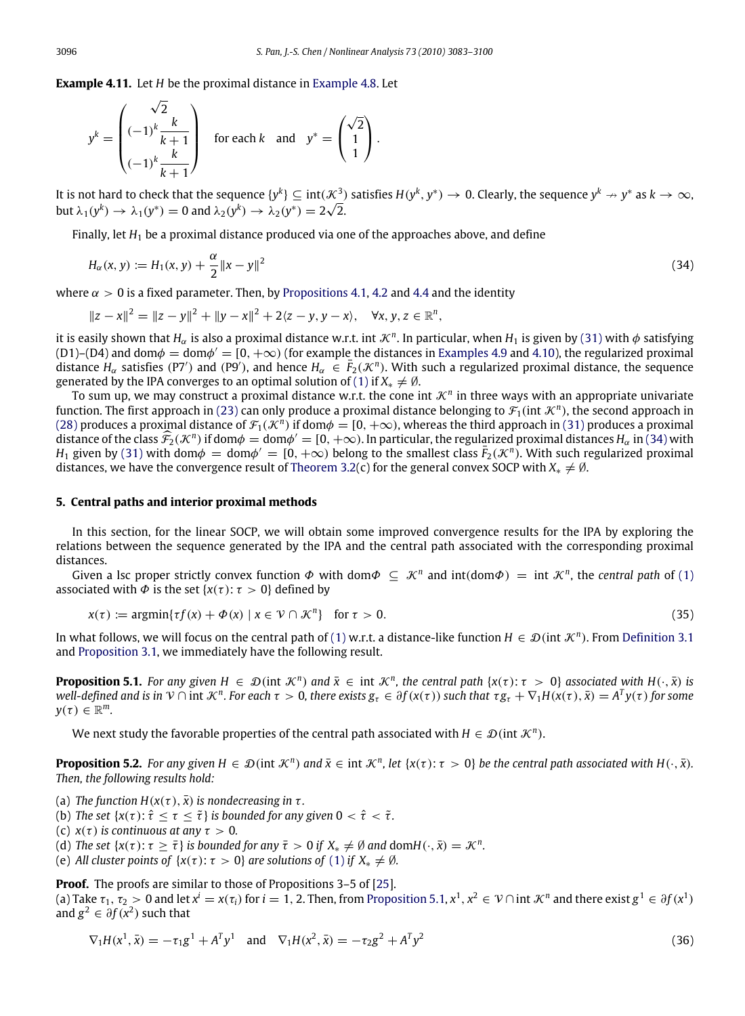**Example 4.11.** Let *H* be the proximal distance in [Example 4.8.](#page-12-4) Let

<span id="page-13-1"></span> $\sqrt{2}$ 

$$
y^{k} = \begin{pmatrix} \sqrt{2} \\ (-1)^{k} \frac{k}{k+1} \\ (-1)^{k} \frac{k}{k+1} \end{pmatrix} \text{ for each } k \text{ and } y^{*} = \begin{pmatrix} \sqrt{2} \\ 1 \\ 1 \end{pmatrix}.
$$

It is not hard to check that the sequence  $\{y^k\}\subseteq \text{int}(\mathcal{K}^3_-)$  satisfies  $H(y^k,y^*)\to 0$ . Clearly, the sequence  $y^k\to y^*$  as  $k\to\infty$ , but  $\lambda_1(y^k) \to \lambda_1(y^*) = 0$  and  $\lambda_2(y^k) \to \lambda_2(y^*) = 2\sqrt{2}$ .

Finally, let *H*<sup>1</sup> be a proximal distance produced via one of the approaches above, and define

$$
H_{\alpha}(x, y) := H_1(x, y) + \frac{\alpha}{2} ||x - y||^2
$$
\n(34)

where  $\alpha > 0$  is a fixed parameter. Then, by [Propositions 4.1,](#page-7-3) [4.2](#page-9-1) and [4.4](#page-12-0) and the identity

$$
||z-x||^2 = ||z-y||^2 + ||y-x||^2 + 2\langle z-y, y-x \rangle, \quad \forall x, y, z \in \mathbb{R}^n,
$$

it is easily shown that  $H_\alpha$  is also a proximal distance w.r.t. int  $\mathcal{K}^n$ . In particular, when  $H_1$  is given by [\(31\)](#page-11-1) with  $\phi$  satisfying (D1)–(D4) and dom $\phi =$  dom $\phi' = [0, +\infty)$  (for example the distances in [Examples 4.9](#page-12-1) and [4.10\)](#page-12-2), the regularized proximal distance  $H_\alpha$  satisfies (P7') and (P9'), and hence  $H_\alpha \in \overline{F}_2(\mathcal{K}^n)$ . With such a regularized proximal distance, the sequence generated by the IPA converges to an optimal solution of [\(1\)](#page-0-4) if  $X_* \neq \emptyset$ .

To sum up, we may construct a proximal distance w.r.t. the cone int  $\mathcal{K}^n$  in three ways with an appropriate univariate function. The first approach in [\(23\)](#page-7-1) can only produce a proximal distance belonging to  $\mathcal F_1$ (int  $\mathcal K^n$ ), the second approach in [\(28\)](#page-9-0) produces a proximal distance of  $\mathcal{F}_1(\mathcal{K}^n)$  if dom $\phi = [0, +\infty)$ , whereas the third approach in [\(31\)](#page-11-1) produces a proximal distance of the class  $\hat{\mathcal{F}}_2(\mathcal{K}^n)$  if dom $\phi = \text{dom}\phi' = [0, +\infty)$ . In particular, the regularized proximal distances  $H_\alpha$  in [\(34\)](#page-13-1) with *H*<sub>1</sub> given by [\(31\)](#page-11-1) with dom $\phi = \text{dom}\phi' = [0, +\infty)$  belong to the smallest class  $\bar{F}_2(\mathcal{K}^n)$ . With such regularized proximal distances, we have the convergence result of [Theorem 3.2\(](#page-6-0)c) for the general convex SOCP with  $X_* \neq \emptyset$ .

#### **5. Central paths and interior proximal methods**

In this section, for the linear SOCP, we will obtain some improved convergence results for the IPA by exploring the relations between the sequence generated by the IPA and the central path associated with the corresponding proximal distances.

Given a lsc proper strictly convex function  $\Phi$  with dom $\Phi \subseteq \mathcal{K}^n$  and  $\text{int}(\text{dom}\Phi) = \text{int } \mathcal{K}^n$ , the *central path* of [\(1\)](#page-0-4) associated with  $\Phi$  is the set { $x(\tau)$ :  $\tau > 0$ } defined by

<span id="page-13-2"></span>
$$
x(\tau) := \operatorname{argmin} \{ \tau f(x) + \Phi(x) \mid x \in \mathcal{V} \cap \mathcal{K}^n \} \quad \text{for } \tau > 0. \tag{35}
$$

In what follows, we will focus on the central path of [\(1\)](#page-0-4) w.r.t. a distance-like function  $H \in \mathcal{D}$  (int  $\mathcal{K}^n$ ). From [Definition 3.1](#page-3-0) and [Proposition 3.1,](#page-4-3) we immediately have the following result.

**Proposition 5.1.** For any given  $H \in \mathcal{D}$  (int  $\mathcal{K}^n$ ) and  $\bar{x} \in \text{int } \mathcal{K}^n$ , the central path  $\{x(\tau):\tau > 0\}$  associated with  $H(\cdot, \bar{x})$  is well-defined and is in  $V \cap$  int  $K^n$ . For each  $\tau > 0$ , there exists  $g_\tau \in \partial f(x(\tau))$  such that  $\tau g_\tau + \nabla_1 H(x(\tau), \bar{x}) = A^T y(\tau)$  for some  $y(\tau) \in \mathbb{R}^m$ .

<span id="page-13-0"></span>We next study the favorable properties of the central path associated with  $H \in \mathcal{D}$  (int  $\mathcal{K}^n$ ).

**Proposition 5.2.** For any given  $H \in \mathcal{D}$  (int  $\mathcal{K}^n$ ) and  $\bar{x} \in \text{int } \mathcal{K}^n$ , let  $\{x(\tau): \tau > 0\}$  be the central path associated with  $H(\cdot, \bar{x})$ . *Then, the following results hold:*

(a) *The function H*( $x(\tau)$ ,  $\bar{x}$ ) *is nondecreasing in*  $\tau$ *.* 

(b) *The set*  $\{x(\tau):\hat{\tau}\leq \tau\leq \tilde{\tau}\}$  *is bounded for any given*  $0<\hat{\tau}<\tilde{\tau}$ *.* 

(c)  $x(\tau)$  *is continuous at any*  $\tau > 0$ *.* 

(d) *The set*  $\{x(\tau):\tau\geq \bar{\tau}\}$  *is bounded for any*  $\bar{\tau}>0$  *if*  $X_*\neq \emptyset$  *and* dom $H(\cdot,\bar{x})=\mathcal{K}^n$ *.* 

(e) *All cluster points of*  $\{x(\tau): \tau > 0\}$  *are solutions of* [\(1\)](#page-0-4) *if*  $X_* \neq \emptyset$ *.* 

**Proof.** The proofs are similar to those of Propositions 3–5 of [\[25\]](#page-17-7). (a) Take  $\tau_1, \tau_2 > 0$  and let  $x^i = x(\tau_i)$  for  $i = 1, 2$ . Then, from [Proposition 5.1,](#page-13-2)  $x^1, x^2 \in \mathcal{V} \cap$  int  $\mathcal{K}^n$  and there exist  $g^1 \in \partial f(x^1)$ and  $g^2 \in \partial f(x^2)$  such that

$$
\nabla_1 H(x^1, \bar{x}) = -\tau_1 g^1 + A^T y^1 \quad \text{and} \quad \nabla_1 H(x^2, \bar{x}) = -\tau_2 g^2 + A^T y^2 \tag{36}
$$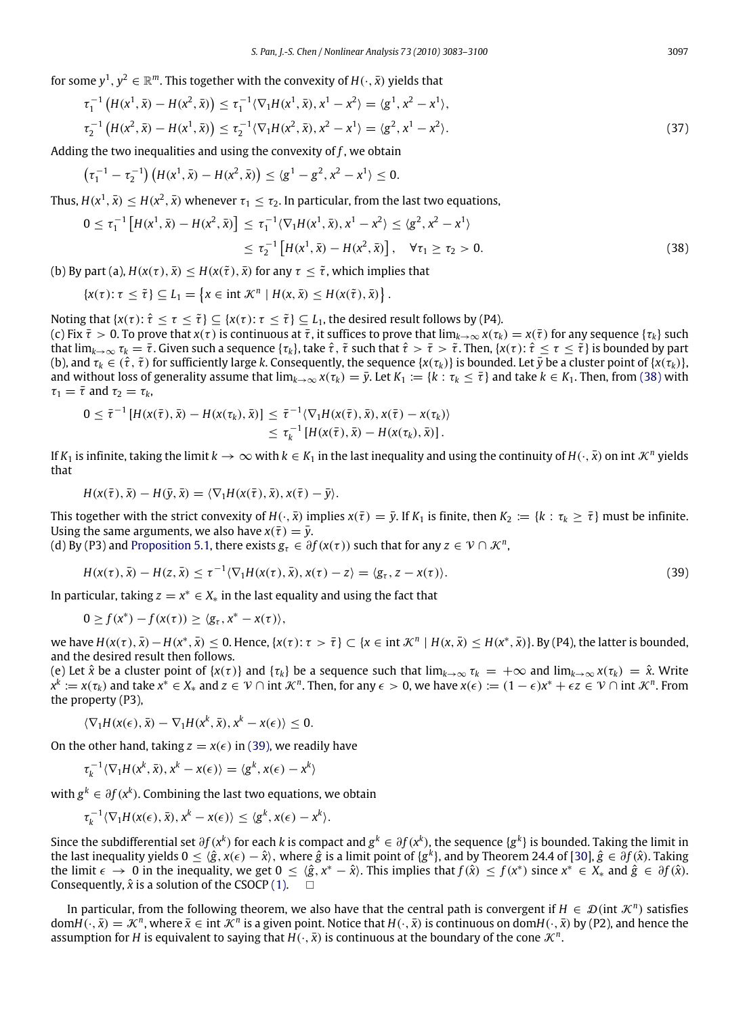for some  $y^1, y^2 \in \mathbb{R}^m$ . This together with the convexity of  $H(\cdot, \bar{x})$  yields that

$$
\tau_1^{-1}\left(H(x^1,\bar{x}) - H(x^2,\bar{x})\right) \le \tau_1^{-1}\langle\nabla_1 H(x^1,\bar{x}), x^1 - x^2\rangle = \langle g^1, x^2 - x^1\rangle, \tau_2^{-1}\left(H(x^2,\bar{x}) - H(x^1,\bar{x})\right) \le \tau_2^{-1}\langle\nabla_1 H(x^2,\bar{x}), x^2 - x^1\rangle = \langle g^2, x^1 - x^2\rangle.
$$
\n(37)

Adding the two inequalities and using the convexity of *f* , we obtain

$$
\left(\tau_1^{-1}-\tau_2^{-1}\right)\left(H(x^1,\bar{x})-H(x^2,\bar{x})\right)\leq \langle g^1-g^2,x^2-x^1\rangle\leq 0.
$$

Thus,  $H(x^1,\bar{x}) \leq H(x^2,\bar{x})$  whenever  $\tau_1 \leq \tau_2.$  In particular, from the last two equations,

$$
0 \leq \tau_1^{-1} \left[ H(x^1, \bar{x}) - H(x^2, \bar{x}) \right] \leq \tau_1^{-1} \langle \nabla_1 H(x^1, \bar{x}), x^1 - x^2 \rangle \leq \langle g^2, x^2 - x^1 \rangle
$$
  
 
$$
\leq \tau_2^{-1} \left[ H(x^1, \bar{x}) - H(x^2, \bar{x}) \right], \quad \forall \tau_1 \geq \tau_2 > 0.
$$
 (38)

(b) By part (a),  $H(x(\tau), \bar{x}) \leq H(x(\tilde{\tau}), \bar{x})$  for any  $\tau \leq \tilde{\tau}$ , which implies that

<span id="page-14-0"></span>
$$
\{x(\tau): \tau \leq \tilde{\tau}\} \subseteq L_1 = \left\{x \in \text{int } \mathcal{K}^n \mid H(x, \bar{x}) \leq H(x(\tilde{\tau}), \bar{x})\right\}.
$$

Noting that  $\{x(\tau):\hat{\tau}\leq \tau\leq \tilde{\tau}\}\subseteq \{x(\tau):\tau\leq \tilde{\tau}\}\subseteq L_1$ , the desired result follows by (P4).

(c) Fix  $\bar{\tau} > 0$ . To prove that  $x(\tau)$  is continuous at  $\bar{\tau}$ , it suffices to prove that  $\lim_{k \to \infty} x(\tau_k) = x(\bar{\tau})$  for any sequence  $\{\tau_k\}$  such that  $\lim_{k\to\infty} \tau_k = \overline{\tau}$ . Given such a sequence  $\{\tau_k\}$ , take  $\hat{\tau}$ ,  $\tilde{\tau}$  such that  $\hat{\tau} > \tilde{\tau} > \tilde{\tau}$ . Then,  $\{\chi(\tau): \hat{\tau} \leq \tau \leq \tilde{\tau}\}$  is bounded by part (b), and  $\tau_k \in (\hat{\tau}, \tilde{\tau})$  for sufficiently large *k*. Consequently, the sequence  $\{x(\tau_k)\}\$ is bounded. Let  $\bar{y}$  be a cluster point of  $\{x(\tau_k)\}\$ , and without loss of generality assume that  $\lim_{k\to\infty} x(t_k) = \bar{y}$ . Let  $K_1 := \{k : \tau_k \leq \bar{\tau}\}$  and take  $k \in K_1$ . Then, from [\(38\)](#page-14-0) with  $\tau_1 = \overline{\tau}$  and  $\tau_2 = \tau_k$ ,

$$
0 \leq \overline{\tau}^{-1}\left[H(x(\overline{\tau}),\overline{x}) - H(x(\tau_k),\overline{x})\right] \leq \overline{\tau}^{-1}\langle \nabla_1 H(x(\overline{\tau}),\overline{x}), x(\overline{\tau}) - x(\tau_k) \rangle \\ \leq \tau_k^{-1}\left[H(x(\overline{\tau}),\overline{x}) - H(x(\tau_k),\overline{x})\right].
$$

If  $K_1$  is infinite, taking the limit  $k\to\infty$  with  $k\in K_1$  in the last inequality and using the continuity of  $H(\cdot,\bar{x})$  on int  $\mathcal{K}^n$  yields that

$$
H(x(\bar{\tau}),\bar{x}) - H(\bar{y},\bar{x}) = \langle \nabla_1 H(x(\bar{\tau}),\bar{x}), x(\bar{\tau}) - \bar{y} \rangle.
$$

This together with the strict convexity of  $H(\cdot, \bar{x})$  implies  $x(\bar{\tau}) = \bar{y}$ . If  $K_1$  is finite, then  $K_2 := \{k : \tau_k \geq \bar{\tau}\}$  must be infinite. Using the same arguments, we also have  $x(\bar{\tau}) = \bar{y}$ .

(d) By (P3) and [Proposition 5.1,](#page-13-2) there exists  $g_\tau \in \partial f(x(\tau))$  such that for any  $z \in \mathcal{V} \cap \mathcal{K}^n$ ,

<span id="page-14-1"></span>
$$
H(x(\tau),\bar{x}) - H(z,\bar{x}) \leq \tau^{-1} \langle \nabla_1 H(x(\tau),\bar{x}), x(\tau) - z \rangle = \langle g_\tau, z - x(\tau) \rangle.
$$
\n(39)

In particular, taking  $z = x^* \in X_*$  in the last equality and using the fact that

$$
0 \ge f(x^*) - f(x(\tau)) \ge \langle g_\tau, x^* - x(\tau) \rangle,
$$

we have  $H(x(\tau), \bar{x}) - H(x^*, \bar{x}) \le 0$ . Hence,  $\{x(\tau): \tau > \bar{\tau}\} \subset \{x \in \text{int } \mathcal{K}^n \mid H(x, \bar{x}) \le H(x^*, \bar{x})\}$ . By (P4), the latter is bounded, and the desired result then follows.

(e) Let  $\hat{x}$  be a cluster point of { $x(\tau)$ } and { $\tau_k$ } be a sequence such that  $\lim_{k\to\infty} \tau_k = +\infty$  and  $\lim_{k\to\infty} x(\tau_k) = \hat{x}$ . Write  $x^k := x(\tau_k)$  and take  $x^* \in X_*$  and  $z \in \mathcal{V} \cap \operatorname{int} \mathcal{K}^n$ . Then, for any  $\epsilon > 0$ , we have  $x(\epsilon) := (1 - \epsilon)x^* + \epsilon z \in \mathcal{V} \cap \operatorname{int} \mathcal{K}^n$ . From the property (P3),

$$
\langle \nabla_1 H(x(\epsilon), \bar{x}) - \nabla_1 H(x^k, \bar{x}), x^k - x(\epsilon) \rangle \leq 0.
$$

On the other hand, taking  $z = x(\epsilon)$  in [\(39\),](#page-14-1) we readily have

$$
\tau_k^{-1}\langle \nabla_1 H(x^k,\bar{x}), x^k - x(\epsilon)\rangle = \langle g^k, x(\epsilon) - x^k\rangle
$$

 $\text{with } g^k \in \partial f(x^k)$ . Combining the last two equations, we obtain

$$
\tau_k^{-1}\langle \nabla_1 H(x(\epsilon),\bar{x}), x^k - x(\epsilon) \rangle \leq \langle g^k, x(\epsilon) - x^k \rangle.
$$

Since the subdifferential set  $\partial f(x^k)$  for each *k* is compact and  $g^k \in \partial f(x^k)$ , the sequence  $\{g^k\}$  is bounded. Taking the limit in the last inequality yields  $0 \leq \langle \hat{g}, x(\epsilon) - \hat{x} \rangle$ , where  $\hat{g}$  is a limit point of  $\{g^k\}$ , and by Theorem 24.4 of [\[30\]](#page-17-13),  $\hat{g} \in \partial f(\hat{x})$ . Taking the limit  $\epsilon \to 0$  in the inequality, we get  $0 \leq \langle \hat{g}, x^* - \hat{x} \rangle$ . This implies that  $f(\hat{x}) \leq f(x^*)$  since  $x^* \in X_*$  and  $\hat{g} \in \partial f(\hat{x})$ . Consequently,  $\hat{x}$  is a solution of the CSOCP [\(1\).](#page-0-4)  $\Box$ 

In particular, from the following theorem, we also have that the central path is convergent if  $H \in \mathcal{D}$ (int  $\mathcal{K}^n$ ) satisfies  $domH(\cdot,\bar{x}) = \mathcal{K}^n$ , where  $\bar{x} \in \text{int } \mathcal{K}^n$  is a given point. Notice that  $H(\cdot,\bar{x})$  is continuous on dom $H(\cdot,\bar{x})$  by (P2), and hence the assumption for *H* is equivalent to saying that  $H(\cdot,\bar{x})$  is continuous at the boundary of the cone  $\mathcal{K}^n$ .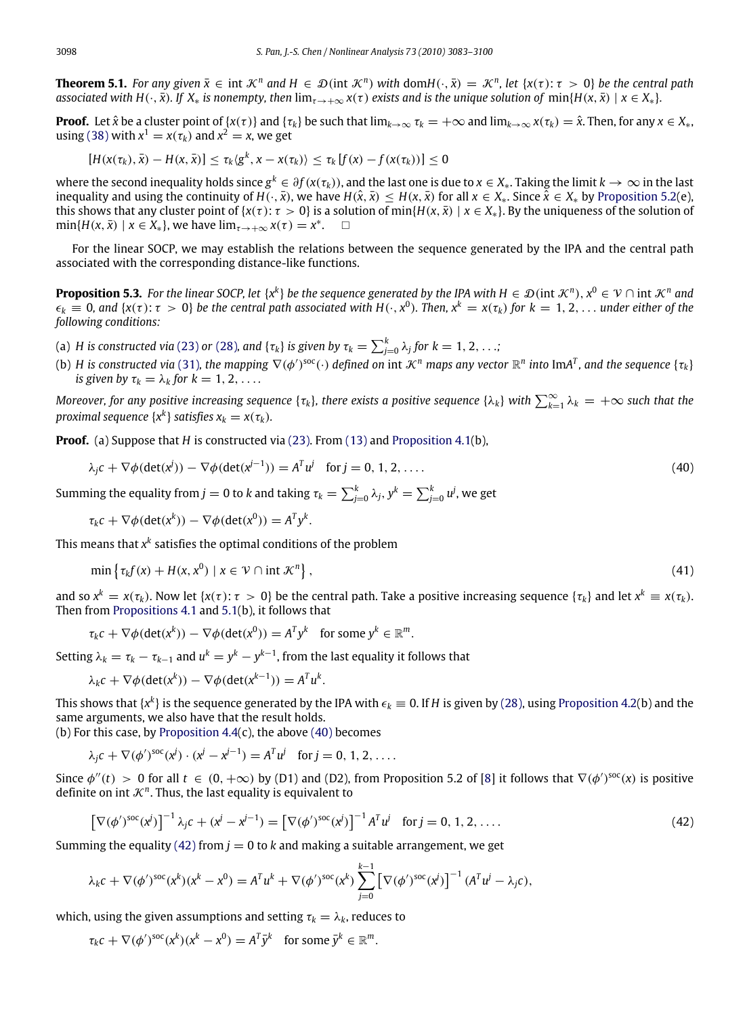<span id="page-15-4"></span>**Theorem 5.1.** *For any given*  $\bar{x} \in \text{int } \mathcal{K}^n$  *and*  $H \in \mathcal{D}(\text{int } \mathcal{K}^n)$  *with* dom $H(\cdot, \bar{x}) = \mathcal{K}^n$ *, let*  $\{x(\tau): \tau > 0\}$  *be the central path associated with H(* $\cdot$ ,  $\bar{x}$ ). If  $X_*$  *is nonempty, then* lim<sub> $x \to +\infty$ </sub>  $x(\tau)$  *exists and is the unique solution of* min{*H*( $x, \bar{x}$ ) |  $x \in X_*$ }*.* 

**Proof.** Let  $\hat{x}$  be a cluster point of { $x(\tau)$ } and { $\tau_k$ } be such that  $\lim_{k\to\infty} \tau_k = +\infty$  and  $\lim_{k\to\infty} x(\tau_k) = \hat{x}$ . Then, for any  $x \in X_*$ , using [\(38\)](#page-14-0) with  $x^1 = x(\tau_k)$  and  $x^2 = x$ , we get

$$
[H(x(\tau_k),\bar{x})-H(x,\bar{x})]\leq \tau_k\langle g^k,x-x(\tau_k)\rangle\leq \tau_k[f(x)-f(x(\tau_k))]\leq 0
$$

where the second inequality holds since  $g^k\in\partial f(x(\tau_k))$ , and the last one is due to  $x\in X_*$ . Taking the limit  $k\to\infty$  in the last inequality and using the continuity of *H*( $\cdot$ ,  $\bar{x}$ ), we have *H*( $\hat{x}$ ,  $\bar{x}$ ) ≤ *H*( $x$ ,  $\bar{x}$ ) for all  $x \in X_*$ . Since  $\hat{x} \in X_*$  by [Proposition 5.2\(](#page-13-0)e), this shows that any cluster point of  $\{x(\tau) : \tau > 0\}$  is a solution of min $\{H(x, \bar{x}) \mid x \in X_*\}$ . By the uniqueness of the solution of  $\min\{H(x,\bar{x}) \mid x \in X_*\},\$  we have  $\lim_{\tau \to +\infty} x(\tau) = x^*$ .  $\square$ 

For the linear SOCP, we may establish the relations between the sequence generated by the IPA and the central path associated with the corresponding distance-like functions.

<span id="page-15-0"></span>**Proposition 5.3.** For the linear SOCP, let  $\{x^k\}$  be the sequence generated by the IPA with  $H \in \mathcal{D}$  (int  $\mathcal{K}^n$ ),  $x^0 \in \mathcal{V} \cap$  int  $\mathcal{K}^n$  and  $\epsilon_k \equiv 0$ , and  $\{x(\tau):\tau > 0\}$  be the central path associated with  $H(\cdot, x^0)$ . Then,  $x^k = x(\tau_k)$  for  $k = 1, 2, \ldots$  under either of the *following conditions:*

(a) *H* is constructed via [\(23\)](#page-7-1) or [\(28\)](#page-9-0), and { $\tau_k$ } is given by  $\tau_k = \sum_{j=0}^k \lambda_j$  for  $k=1,2,\ldots;$ 

(b) H is constructed via [\(31\)](#page-11-1), the mapping  $\nabla(\phi')^{\rm soc}(\cdot)$  defined on int  $\mathcal{K}^n$  maps any vector  $\R^n$  into ImA<sup>T</sup>, and the sequence  $\{\tau_k\}$ *is given by*  $\tau_k = \lambda_k$  *for*  $k = 1, 2, \ldots$ 

*Moreover, for any positive increasing sequence {* $\tau_k$ *}, there exists a positive sequence {* $\lambda_k$ *} with*  $\sum_{k=1}^\infty \lambda_k = +\infty$  *such that the proximal sequence*  $\{x^k\}$  *satisfies*  $x_k = x(\tau_k)$ *.* 

**Proof.** (a) Suppose that *H* is constructed via [\(23\).](#page-7-1) From [\(13\)](#page-3-3) and [Proposition 4.1\(](#page-7-3)b),

$$
\lambda_j c + \nabla \phi(\det(\mathbf{x}^j)) - \nabla \phi(\det(\mathbf{x}^{j-1})) = A^T u^j \quad \text{for } j = 0, 1, 2, \dots
$$
 (40)

Summing the equality from  $j = 0$  to  $k$  and taking  $\tau_k = \sum_{j=0}^k \lambda_j, y^k = \sum_{j=0}^k u^j$ , we get

$$
\tau_k c + \nabla \phi(\det(x^k)) - \nabla \phi(\det(x^0)) = A^T y^k.
$$

This means that  $x^k$  satisfies the optimal conditions of the problem

$$
\min \left\{ \tau_k f(x) + H(x, x^0) \mid x \in \mathcal{V} \cap \text{int } \mathcal{K}^n \right\},\tag{41}
$$

<span id="page-15-3"></span><span id="page-15-2"></span><span id="page-15-1"></span>.

and so  $x^k = x(\tau_k)$ . Now let  $\{x(\tau): \tau > 0\}$  be the central path. Take a positive increasing sequence  $\{\tau_k\}$  and let  $x^k \equiv x(\tau_k)$ . Then from [Propositions 4.1](#page-7-3) and [5.1\(](#page-13-2)b), it follows that

$$
\tau_k c + \nabla \phi(\det(x^k)) - \nabla \phi(\det(x^0)) = A^T y^k \text{ for some } y^k \in \mathbb{R}^m
$$

Setting  $\lambda_k = \tau_k - \tau_{k-1}$  and  $u^k = y^k - y^{k-1}$ , from the last equality it follows that

$$
\lambda_k c + \nabla \phi(\det(x^k)) - \nabla \phi(\det(x^{k-1})) = A^T u^k.
$$

This shows that {x<sup>k</sup>} is the sequence generated by the IPA with  $\epsilon_k\equiv 0$ . If  $H$  is given by [\(28\),](#page-9-0) using [Proposition 4.2\(](#page-9-1)b) and the same arguments, we also have that the result holds.

(b) For this case, by Proposition  $4.4(c)$ , the above [\(40\)](#page-15-1) becomes

$$
\lambda_j c + \nabla (\phi')^{soc} (x^j) \cdot (x^j - x^{j-1}) = A^T u^j
$$
 for  $j = 0, 1, 2, ...$ 

Since  $\phi''(t) > 0$  for all  $t \in (0, +\infty)$  by (D1) and (D2), from Proposition 5.2 of [\[8\]](#page-16-5) it follows that  $\nabla(\phi')^{\text{soc}}(x)$  is positive definite on int  $K<sup>n</sup>$ . Thus, the last equality is equivalent to

$$
\left[\nabla(\phi')^{\text{soc}}(x^j)\right]^{-1}\lambda_j c + (x^j - x^{j-1}) = \left[\nabla(\phi')^{\text{soc}}(x^j)\right]^{-1} A^T u^j \quad \text{for } j = 0, 1, 2, \dots
$$
 (42)

Summing the equality [\(42\)](#page-15-2) from  $j = 0$  to k and making a suitable arrangement, we get

$$
\lambda_k c + \nabla(\phi')^{soc}(x^k)(x^k - x^0) = A^T u^k + \nabla(\phi')^{soc}(x^k) \sum_{j=0}^{k-1} \left[ \nabla(\phi')^{soc}(x^j) \right]^{-1} (A^T u^j - \lambda_j c),
$$

which, using the given assumptions and setting  $\tau_k = \lambda_k$ , reduces to

$$
\tau_k c + \nabla (\phi')^{soc}(x^k)(x^k - x^0) = A^T \bar{y}^k \text{ for some } \bar{y}^k \in \mathbb{R}^m.
$$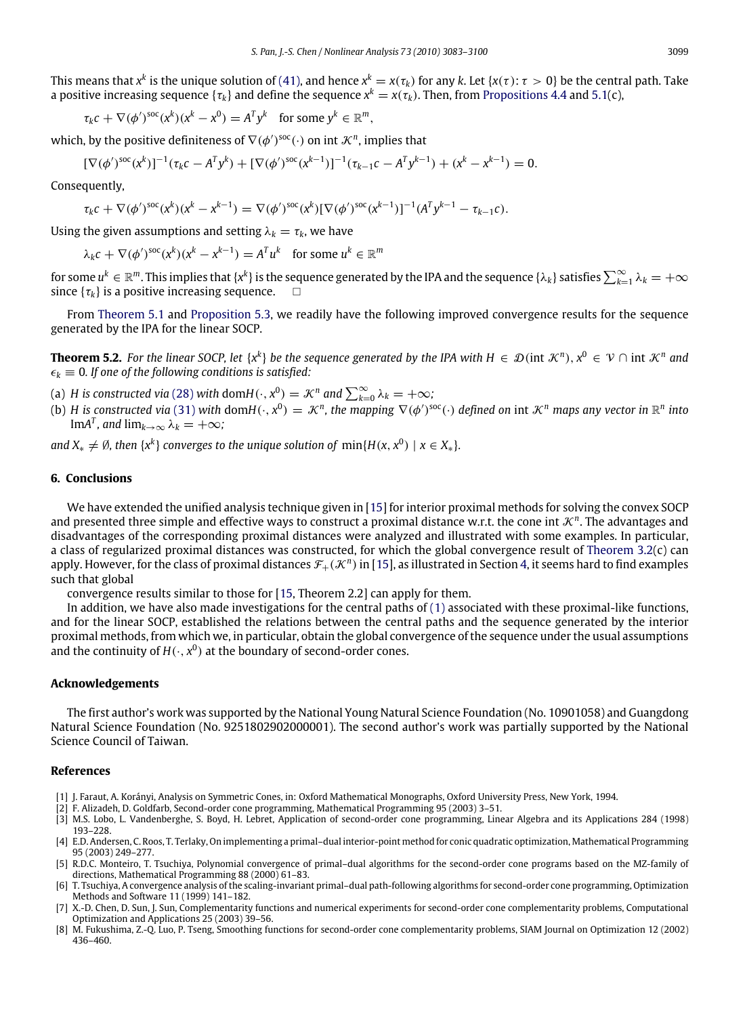This means that  $x^k$  is the unique solution of [\(41\),](#page-15-3) and hence  $x^k=x(\tau_k)$  for any  $k$ . Let  $\{x(\tau)\colon \tau>0\}$  be the central path. Take a positive increasing sequence { $\tau_k$ } and define the sequence  $x^k = x(\tau_k)$ . Then, from [Propositions 4.4](#page-12-0) and [5.1\(](#page-13-2)c),

$$
\tau_k c + \nabla (\phi')^{\text{soc}} (x^k)(x^k - x^0) = A^T y^k \text{ for some } y^k \in \mathbb{R}^m,
$$

which, by the positive definiteness of  $\nabla(\phi')^{\text{soc}}(\cdot)$  on int  $\mathcal{K}^n$ , implies that

$$
[\nabla(\phi')^{\text{soc}}(x^k)]^{-1}(\tau_k c - A^T y^k) + [\nabla(\phi')^{\text{soc}}(x^{k-1})]^{-1}(\tau_{k-1} c - A^T y^{k-1}) + (x^k - x^{k-1}) = 0.
$$

Consequently,

$$
\tau_k c + \nabla (\phi')^{soc}(x^k)(x^k - x^{k-1}) = \nabla (\phi')^{soc}(x^k) [\nabla (\phi')^{soc}(x^{k-1})]^{-1} (A^T y^{k-1} - \tau_{k-1} c).
$$

Using the given assumptions and setting  $\lambda_k = \tau_k$ , we have

 $\lambda_k c + \nabla (\phi')^{\text{soc}} (x^k)(x^k - x^{k-1}) = A^T u^k \text{ for some } u^k \in \mathbb{R}^m$ 

for some  $u^k\in\mathbb{R}^m.$  This implies that  $\{x^k\}$  is the sequence generated by the IPA and the sequence  $\{\lambda_k\}$  satisfies  $\sum_{k=1}^\infty\lambda_k=+\infty$ since  $\{\tau_k\}$  is a positive increasing sequence.  $\square$ 

From [Theorem 5.1](#page-15-4) and [Proposition 5.3,](#page-15-0) we readily have the following improved convergence results for the sequence generated by the IPA for the linear SOCP.

<span id="page-16-6"></span>**Theorem 5.2.** For the linear SOCP, let  $\{x^k\}$  be the sequence generated by the IPA with  $H \in \mathcal{D}$ (int  $\mathcal{K}^n$ ),  $x^0 \in \mathcal{V} \cap$  int  $\mathcal{K}^n$  and  $\epsilon_k \equiv 0$ . If one of the following conditions is satisfied:

- (a) *H* is constructed via [\(28\)](#page-9-0) with dom $H(\cdot, x^0) = \mathcal{K}^n$  and  $\sum_{k=0}^{\infty} \lambda_k = +\infty$ ;
- (b) *H* is constructed via [\(31\)](#page-11-1) with dom $H(\cdot, x^0) = \mathcal{K}^n$ , the mapping  $\nabla(\phi')^{\text{soc}}(\cdot)$  defined on int  $\mathcal{K}^n$  maps any vector in  $\mathbb{R}^n$  into Im $A^T$ *, and* lim<sub> $k\to\infty$ </sub>  $\lambda_k = +\infty$ *;*

*and*  $X_* \neq \emptyset$ , then  $\{x^k\}$  converges to the unique solution of  $min\{H(x, x^0) \mid x \in X_*\}$ .

#### **6. Conclusions**

We have extended the unified analysis technique given in [\[15\]](#page-17-8) for interior proximal methods for solving the convex SOCP and presented three simple and effective ways to construct a proximal distance w.r.t. the cone int  $\mathcal{K}^n$ . The advantages and disadvantages of the corresponding proximal distances were analyzed and illustrated with some examples. In particular, a class of regularized proximal distances was constructed, for which the global convergence result of [Theorem 3.2\(](#page-6-0)c) can apply. However, for the class of proximal distances  $\mathcal{F}_+(\mathcal{K}^n)$  in [\[15\]](#page-17-8), as illustrated in Section [4,](#page-7-0) it seems hard to find examples such that global

convergence results similar to those for [\[15,](#page-17-8) Theorem 2.2] can apply for them.

In addition, we have also made investigations for the central paths of  $(1)$  associated with these proximal-like functions, and for the linear SOCP, established the relations between the central paths and the sequence generated by the interior proximal methods, from which we, in particular, obtain the global convergence of the sequence under the usual assumptions and the continuity of  $H(\cdot, x^0)$  at the boundary of second-order cones.

#### **Acknowledgements**

The first author's work was supported by the National Young Natural Science Foundation (No. 10901058) and Guangdong Natural Science Foundation (No. 9251802902000001). The second author's work was partially supported by the National Science Council of Taiwan.

#### **References**

- <span id="page-16-0"></span>[1] J. Faraut, A. Korányi, Analysis on Symmetric Cones, in: Oxford Mathematical Monographs, Oxford University Press, New York, 1994.
- <span id="page-16-1"></span>[2] F. Alizadeh, D. Goldfarb, Second-order cone programming, Mathematical Programming 95 (2003) 3–51.
- <span id="page-16-2"></span>[3] M.S. Lobo, L. Vandenberghe, S. Boyd, H. Lebret, Application of second-order cone programming, Linear Algebra and its Applications 284 (1998) 193–228.
- <span id="page-16-3"></span>[4] E.D. Andersen, C. Roos, T. Terlaky, On implementing a primal–dual interior-point method for conic quadratic optimization, Mathematical Programming 95 (2003) 249–277.
- [5] R.D.C. Monteiro, T. Tsuchiya, Polynomial convergence of primal–dual algorithms for the second-order cone programs based on the MZ-family of directions, Mathematical Programming 88 (2000) 61–83.
- [6] T. Tsuchiya, A convergence analysis of the scaling-invariant primal–dual path-following algorithms for second-order cone programming, Optimization Methods and Software 11 (1999) 141–182.
- <span id="page-16-4"></span>[7] X.-D. Chen, D. Sun, J. Sun, Complementarity functions and numerical experiments for second-order cone complementarity problems, Computational Optimization and Applications 25 (2003) 39–56.
- <span id="page-16-5"></span>[8] M. Fukushima, Z.-Q. Luo, P. Tseng, Smoothing functions for second-order cone complementarity problems, SIAM Journal on Optimization 12 (2002) 436–460.